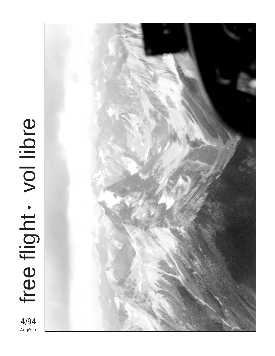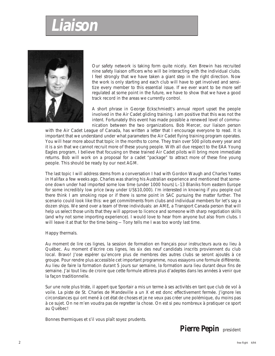# **Liaison**



Our safety network is taking form quite nicely. Ken Brewin has recruited nine safety liaison officers who will be interacting with the individual clubs. I feel strongly that we have taken a giant step in the right direction. Now the work is only starting and each club will have to get involved and sensitize every member to this essential issue. If we ever want to be more self regulated at some point in the future, we have to show that we have a good track record in the areas we currently control.

A short phrase in George Eckschmiedt's annual report upset the people involved in the Air Cadet gliding training. I am positive that this was not the intent. Fortunately this event has made possible a renewed level of communication between the two organizations. Bob Mercer, our liaison person

with the Air Cadet League of Canada, has written a letter that I encourage everyone to read. It is important that we understand under what parameters the Air Cadet flying training program operates. You will hear more about that topic in the months to come. They train over 500 pilots every year and it is a sin that we cannot recruit more of these young people. With all due respect to the EAA Young Eagles program, I believe that focusing on these trained Air Cadet pilots will bring more immediate returns. Bob will work on a proposal for a cadet "package" to attract more of these fine young people. This should be ready by our next AGM.

The last topic I will address stems from a conversation I had with Gordon Waugh and Charles Yeates in Halifax a few weeks ago. Charles was sharing his Australian experience and mentioned that someone down under had imported some low time (under 1000 hours) L–13 Blaniks from eastern Europe for some incredibly low price (way under US\$10,000). I'm interested in knowing if you people out there think I am smoking rope or if there is some point in SAC pursuing the matter further. The scenario could look like this: we get commitments from clubs and individual members for let's say a dozen ships. We send over a team of three individuals: an AME, a Transport Canada person that will help us select those units that they will approve to licence and someone with sharp negotiation skills (and why not some importing experience). I would love to hear from anyone but also from clubs. I will leave it at that for the time being - Tony tells me I was too wordy last time.

# Happy thermals.

Au moment de lire ces lignes, la session de formation en français pour instructeurs aura eu lieu à Québec. Au moment d'écrire ces lignes, les six des neuf candidats inscrits proviennent du club local. Bravo! J'ose espérer qu'encore plus de membres des autres clubs se seront ajoutés à ce groupe. Pour rendre plus accessible cet important programme, nous essayons une formule différente. Au lieu de faire la formation durant 5 jours sur semaine, la formation aura lieu durant deux fins de semaine. J'ai tout lieu de croire que cette formule attirera plus d'adeptes dans les années à venir que la façon traditionnelle.

Sur une note plus triste, il appert que Sportair a mis un terme à ses activités en tant que club de vol à voile. La piste de St. Charles de Mandeville a un X et est donc effectivement fermée. J'ignore les circonstances qui ont mené à cet état de choses et je ne veux pas créer une polémique, du moins pas à ce sujet. On ne m'en voudra pas de regretter la chose. On est si peu nombreux à pratiquer ce sport au Québec!

Bonnes thermiques et s'il vous plaît soyez prudents.

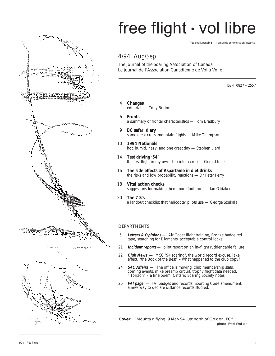

# free flight • vol libre

Trademark pending Marque de commerce en instance

# 4/94 Aug/Sep

The journal of the Soaring Association of Canada Le journal de l'Association Canadienne de Vol à Voile

ISSN 0827 – 2557

- 4 **Changes** editorial — Tony Burton
- 6 **Fronts** a summary of frontal characteristics — Tom Bradbury
- 9 **BC safari diary** some great cross–mountain flights — Mike Thompson
- 10 **1994 Nationals** hot, humid, hazy, and one great day — Stephen Liard
- 14 **Test driving '54'** the first flight in my own ship into a crop — Gerald Ince
- 16 **The side effects of Aspartame in diet drinks** the risks and low probability reactions — Dr Peter Perry
- 18 **Vital action checks** suggestions for making them more foolproof — Ian Oldaker
- 20 **The 7 S's** a landout checklist that helicopter pilots use — George Szukala

# DEPARTMENTS

- 5 **Letters & Opinions** Air Cadet flight training, Bronze badge red tape, searching for Diamants, acceptable control locks.
- 21 **Incident reports** pilot report on an in–flight rudder cable failure.
- 22 **Club News**  MSC '94 soaring?, the world record excuse, lake effect, "the Book of the Best" – what happened to the club copy?
- 24 **SAC Affairs** The office is moving, club membership stats, coming events, mike preamp circuit, trophy flight data needed, "Horizon" – a fine poem, Ontario Soaring Society notes.
- 26 **FAI page** FAI badges and records, Sporting Code amendment, a new way to declare distance records studied.

**Cover** "Mountain flying, 9 May 94, just north of Golden, BC" photo: Fred Wollrad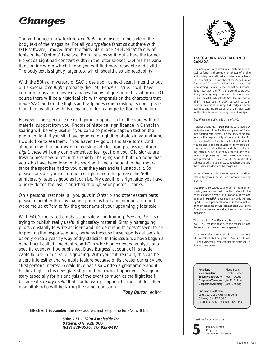# **Changes**

You will notice a new look to free flight here inside in the style of the body text of the magazine. For all you typeface fanatics out there with DTP software, I moved from the fairly plain Jane "Helvetica" family of fonts to the "Optima" typeface. Both are sans serif, but where the former Helvetica Light had constant width in the letter strokes, Optima has variations in line width which I hope you will find more readable and stylish. The body text is slightly larger too, which should also aid readability.

With the 50th anniversary of SAC close upon us next year, I intend to put out a special free flight, probably the 1/95 Feb/Mar issue. It will have colour photos and many extra pages, but what goes into it is still open. Of course there will be a historical tilt, with emphasis on the characters that made SAC, and on the flights and sailplanes which distinguish our special branch of aviation with its elegance of form and perfection of function.

However, this special issue isn't going to appear out of the void without material support from you. Photos of historical significance in Canadian soaring will be very useful if you can also provide caption text on the photo content. If you still have good colour gliding photos in your album, I would like to see them, if you haven't — go out and take some. And although I will be borrowing interesting articles from past issues of free flight, these will only complement stories I get from you. Old stories are fresh to most new pilots in this rapidly changing sport, but I do hope that you who have been long in the sport will give a thought to the importance the sport has had to you over the years and tell us about it. So please consider yourself on notice right now to help make the 50th anniversary issue as good as it can be. My deadline is right after you have quickly dotted the last 'i' or fished through your photos. Thanks.

On a personal rest note, all you guys in Ontario and other eastern parts please remember that my fax and phone is the same number, so don't wake me up at 7am to fax the great news of your upcoming glider sale!

With SAC's increased emphasis on safety and training, free flight is also trying to publish really useful flight safety material. Simply haranguing pilots constantly to write accident and incident reports doesn't seem to be improving the response much, perhaps because these reports get back to us only once a year by way of dry statistics. In this issue, we have begun a department called "incident reports" in which an extended analysis of a specific event will be published. Dave Burgess' account of his rudder cable failure in this issue is gripping. With your future input, this can be a very interesting and valuable feature because of its greater currency and "first person" interest. Gerald Ince has also written a great article about his first flight in his new glass ship, and then what happened! It's a good story especially for his analysis of the event as much as the flight itself, because it's really useful that–could–easily–happen–to–me stuff for other new pilots who will be taking the same road soon.

**Tony Burton**, editor

Effective **1 September**, the new address and telephone for SAC will be:

**Suite 111 – 1090 Ambleside Dr Ottawa, ON K2B 8G7 (613) 829-0536, fax 829-9497**



# **The SOARING ASSOCIATION OF CANADA**

is a non–profit organization of enthusiasts who seek to foster and promote all phases of gliding and soaring on a national and international basis. The association is a member of the Aero Club of Canada (ACC), the Canadian national aero club representing Canada in the Fédération Aéronautique Internationale (FAI), the world sport aviation governing body composed of national aero clubs. The ACC delegates to SAC the supervision of FAI–related soaring activities such as competition sanctions, issuing FAI badges, record attempts, and the selection of a Canadian team for the biennial World soaring championships.

**free flight** is the official journal of SAC.

Material published in **free flight** is contributed by individuals or clubs for the enjoyment of Canadian soaring enthusiasts. The accuracy of the material is the responsibility of the contributor. No payment is offered for submitted material. All individuals and clubs are invited to contribute articles, reports, club activities, and photos of soaring interest. A 3.5" disk copy of text in any common word processing format is welcome (Macintosh preferred, DOS ok in ASCII). All material is subject to editing to the space requirements and the quality standards of the magazine.

Prints in B&W or colour are acceptable. No slides please. Negatives can be used if accompanied by a print.

**free flight** also serves as a forum for opinion on soaring matters and will publish letters to the editor as space permits. Publication of ideas and opinion in **free flight** does not imply endorsement by SAC. Correspondents who wish formal action on their concerns should contact their SAC Zone Director whose name and address is given in the magazine.

The contents of **free flight** may be reprinted; however , SAC requests that both the magazine and the author be given acknowledgement.

For change of address and subscriptions to non– SAC members (\$20 per year, US\$22 in USA, and US\$28 overseas), please contact the National Office, address below.

**President** Pierre Pepin **Vice President** Harald Tilgner<br>**Executive Secretary** Joan McCagg **Executive Secretary** Joan McCagg<br>**Corporate Treasurer** Jim McCollum **Corporate Treasurer Corporate Secretary** Joan McCagg

**SAC National Office** Suite 111, 1090 Ambleside Drive Ottawa, ON K2B 8G7 (613) 829-0536 Fax (613) 829-9497

Deadline for contributions:

**5**

January, March May, July September, November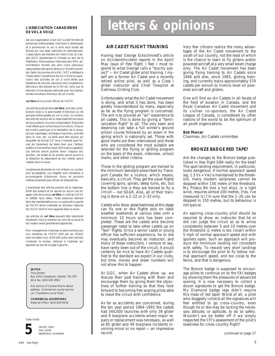### **L'ASSOCIATION CANADIENNE DE VOL A VOILE**

est une organisation à but non lucratif formée de personnes enthousiastes cherchant à développer et à promouvoir le vol à voile sous toutes ses formes sur une base nationale et internationale. L'association est membre de l'Aéro Club du Canada (ACC) représentant le Canada au sein de la Fédération Aéronautique Internationale (FAI), administration formée des aéro clubs nationaux responsables des sports aériens à l'échelle mondiale. Selon les normes de la FAI, l'ACC a délégué à l'Association Canadienne de Vol à Voile la supervision des activités de vol à voile telles que tentatives de records, sanctions des compétitions, délivrance des brevets de la FAI etc. ainsi que la sélection d'une équipe nationale pour les championnats mondiaux biennaux de vol à voile.

#### **vol libre** est le journal officiel de l'ACVV.

Les articles publiés dans **vol libre** sont des contributions dues à la gracieuseté d'individus ou de groupes enthousiastes du vol à voile. Le contenu des articles soumis est la responsabilité exclusive de leurs auteurs. Aucune compensation financière n'est offerte pour la fourniture d'un article. Chacun est invité à participer à la réalisation de la revue, soit par reportages, échanges d'opinions, activités dans le club, etc. Le texte peut être soumis sur disquette de format 3.5" sous n'importe quel format de traitement de texte bien que l'éditeur préfère le format Macintosh (DOS est acceptable). Les articles seront publiés selon l'espace disponible. Les textes et les photos seront soumis à la rédaction et, dépendant de leur intérêt, seront insérés dans la revue.

Les épreuves de photos en noir et blanc ou couleur sont acceptables. Les négatifs sont utilisables si accompagnés d'épreuves. Nous ne pouvons malheureusement pas utiliser de diapositives.

L'exactitude des articles publiés est la responsabilité des auteurs et ne saurait en aucun cas engager celle de la revue **vol libre**, ni celle de l'ACVV ni refléter leurs idées. Toute personne désirant faire des représentations sur un sujet précis auprès de l'ACVV devra s'adresser au directeur régional de l'ACVV dont le nom apparait dans la revue.

Les articles de **vol libre** peuvent être reproduits librement, mais la mention du nom de la revue et de l'auteur serait grandement appréciée.

Pour changements d'adresse et abonnements aux non membres de l'ACVV (\$20 par an, EU\$22 dans les Etats Unis, et EU\$28 outre–mer) veuillez contacter le bureau national à l'adresse qui apparait au bas de la page à gauche.

# **EDITOR**

Tony Burton Box 1916 Claresholm, Alberta T0L 0T0 tel & fax: (403) 625-4563

Any service of Canada Post to above address. Commercial courier service, c/o "Claresholm Local Press".

**COMMERCIAL ADVERTISING** National Office (613) 829-0536





janvier, mars mai, juillet septembre, novembre

# **letters & opinions**

# **AIR CADET FLIGHT TRAINING**

Having read George Eckschmiedt's article on Accident/Incident reports in the April/ May issue of free flight, I feel I must respond to what George calls a "touchy subject" — Air Cadet glider pilot training. I myself am a former Air Cadet and a recently retired airline pilot, as well as a Class I glider instructor and Chief Towpilot at Gatineau Gliding Club.

Unfortunately what the Air Cadet movement is doing, and what it has done, has been greatly misunderstood by many, especially as far as the flying program is concerned. The aim is to provide an "air" experience to all cadets. This is done by giving a "familiarization flight" to all. The very keen and deserving can take a full winter's ground school course followed by an exam in the spring which is nationally set. Those with good marks are then interviewed and those who are considered the most suitable are selected for the flying or gliding program on the basis of the exam, interview, school marks, and other criteria.

Those in the gliding program are trained to the minimum standard prescribed by Transport Canada for a licence, which means, basically, a circuit. They get the usual flights covering spins, spirals, steep turns, etc, but the bottom line is they are trained to fly a circuit — not SOAR. Also, all of their training is done on a 2–22 or 2–33 only.

Cadets who show great keenness at this stage can fly one or two flights solo on ideal weather weekends at various sites until a minimum 10 hours solo has been completed. These are the cadets who become passenger rated to take other cadets up on "fam" flights. Once a senior cadet or young officer has sufficient experience, he or she may eventually become an instructor, and many of these instructors, I venture to say, have rarely been out of the circuit. It would certainly be nice to have Air Cadets qualified to the standard we expect in our clubs, but time, money and sheer numbers will not allow this to happen.

At GGC, when Air Cadets show up, we discuss their past training with them and encourage them by giving them the objectives of further training so that they look forward to becoming free soaring pilots able to leave the circuit with confidence.

As far as accidents are concerned, during the ten year period 1984–1993 the cadets had 540,000 launches with only 39 glider and 9 towplane accidents where major repairs or replacement was necessary, as well as 85 glider and 49 towplane incidents involving minor or no repair — an impressive record.

Very few citizens realize the many advantages of the Air Cadet movement to the youth of our country, not the least of which is the chance to learn to fly gliders and/or powered aircraft at a very small token charge only. The Air Cadet movement has been giving flying training to Air Cadets since 1946 and also, since 1965, gliding training, and currently trains approximately 570 cadets per annum to licence level on powered aircraft and gliders.

One will find ex–Air Cadets in all facets of the field of aviation in Canada, and the Royal Canadian Air Cadet movement and its civilian co–sponsors, the Air Cadet League of Canada, is considered by other nations of the world to be the optimum of all youth organizations.

#### **Bob Mercer**

Chairman, Air Cadets committee

# **BRONZE BADGE RED TAPE?**

Are the changes to the Bronze badge published in free flight 3/94 really for the best? The spot landing requirement, in particular, looks dangerous. If normal approach speed (eg.  $1.3 \text{ Vs} + \text{Vw}$ ) is maintained to the threshold, many modern sailplanes cannot be stopped within 150 metre of the threshold. My Pilatus B4 (not a hot ship), in a light wind, requires almost 200 metres. (Yes, I've measured it.) I'm sure that the 1–26 can be stopped in 150 metres, but its behaviour is not typical.

An aspiring cross–country pilot should be required to show an instructor that he or she can judge the circuit so as to arrive consistently between 5 and 10 metres over the threshold (1 metre is too close!) within 5 mph of normal approach speed and with spoilers open. Such an approach will produce the minimum landing roll consistent with safety. To reward very short landings is to encourage the pilot to fly below normal approach speed, and too close to the fence, and that is dangerous.

The Bronze badge is supposed to encourage pilots to continue on to the FAI badges by showing them the pleasures of advanced soaring. It is now necessary to collect a dozen signatures to get the Bronze badge. My Diamond badge legs didn't require this mass of red tape! Worst of all, a pilot who doggedly collects all the signatures will feel entitled to go cross–country, even though he or she may be lacking the necessary attitude, or aptitude, to do so safely. Wouldn't we be better off if we simply respected the CFI's assessment of the pilot's readiness for cross–country flight?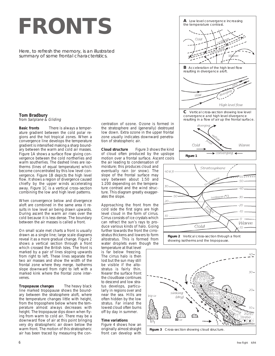# **FRONTS**

Here, to refresh the memory, is an illustrated summary of some frontal characteristics.

**Tom Bradbury** from Sailplane & Gliding

**Basic fronts** There is always a temperature gradient between the cold polar regions and the hot tropical zones. When a convergence line develops the temperature gradient is intensified making a sharp boundary between the warm and cold air masses. Figure 1A shows a surface flow giving convergence between the cold northerlies and warm southerlies. The dashed lines are isotherms (lines of equal temperature) which become concentrated by this low level convergence. Figure 1B depicts the high level flow. It shows a region of divergence caused chiefly by the upper winds accelerating away. Figure 1C is a vertical cross–section combining the low and high level patterns.

When convergence below and divergence aloft are combined in the same area it results in low level air being drawn upwards. During ascent the warm air rises over the cold because it is less dense. The boundary between the air masses is called a front.

On small scale met charts a front is usually drawn as a single line; large scale diagrams reveal it as a more gradual change. Figure 2 shows a vertical section through a front which crossed the British Isles. The front is marked by a pair of lines sloping upwards from right to left. These lines separate the two air masses and show the width of the frontal zone where they merge. Isotherms slope downward from right to left with a marked kink where the frontal zone intervenes.

**Tropopause changes** The heavy black line marked tropopause shows the boundary between the stratosphere aloft, where the temperature changes little with height, from the troposphere below where the temperature almost always decreases with height. The tropopause dips down when flying from warm to cold air. There may be a downward flow of air at this point bringing very dry stratospheric air down below the warm front. The motion of this stratospheric air has been traced by measuring the concentration of ozone. Ozone is formed in the stratosphere and (generally) destroyed low down. Extra ozone in the upper frontal zone usually indicates downward penetration of stratospheric air.

**Cloud structure** Figure 3 shows the kind of cloud often produced by the upslope motion over a frontal surface. Ascent cools

the air leading to condensation of moisture; this produces cloud and eventually rain (or snow). The slope of the frontal surface may vary between about 1:50 and 1:200 depending on the temperature contrast and the wind structure. This diagram greatly exaggerates the slope.

Approaching the front from the cold side the first signs are high level cloud in the form of cirrus. Cirrus consists of ice crystals which can refract the sun's rays to produce various kinds of halo. Going further towards the front the cirrostratus thickens and lowers to form altostratus. This is formed from water droplets even though the

temperature at that level is far below freezing. The cirrus halo is then lost but the sun may still be visible if the altostratus is fairly thin. Nearer the surface front the cloudbase continues to descend and low stratus develops, particularly in regions over and near the sea. Hills are often hidden by the low stratus. Far inland the lowest cloud often burns off by day in summer.

# **Time variations**

Figure 4 shows how an originally almost straight front can develop with









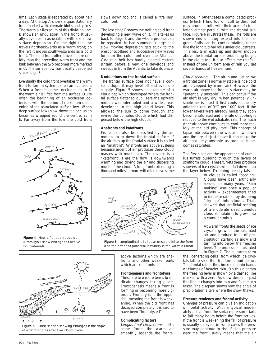time. Each stage is separated by about half a day. At the top A shows a quasistationary front marked with alternate blobs and spikes. The warm air lies south of this dividing line. B shows an undulation in the front. It usually develops in association with a shallow surface depression. On the right the line travels northeastwards as a warm front; on the left it moves southwestwards as a cold front. The cold front often travels more rapidly than the preceding warm front and the kink between the two becomes more marked in C. The surface low has usually deepened since stage B.

Eventually the cold front overtakes the warm front to form a system called an occlusion. When a front becomes occluded as in D the warm air is lifted from the surface. Quite often the beginning of an occlusion coincides with the period of maximum deepening of the associated surface low. When deep surface lows slow down the occlusion becomes wrapped round the centre, as in E. Far away from the low the cold front



**Figure 4** How a front can develop. A through F show changes at twelve hour intervals.



slows down too and is called a "trailing" cold front.

The last stage F shows the trailing cold front developing a new wave on it. This takes us back to stage B and the whole process can be repeated. In bad summers a large and slow moving depression gets stuck to the west of Scotland and successive new waves form on the cold front over the Atlantic. One rain belt has hardly cleared eastern Britain before a new one develops and sweeps in from the Atlantic to take its place.

# **Undulations on the frontal surface**

The frontal surface does not have a constant slope; it may level off and even dip slightly. Figure 5 shows an example of a cloud gap which developed where the frontal surface flattened out. Here the upward motion was interrupted and a wide break developed in the high cloud layer. This allowed the sun to come through and revive the cumulus clouds which had dispersed below the high clouds.

# **Anafronts and katafronts**

Fronts can also be classified by the air motion up or down the frontal surface. If the air rises up the frontal surface it is called an "anafront". Anafronts are active systems because ascent of air produces deep cloud masses with much rain. The reverse is a "katafront". Here the flow is downwards warming and drying the air and dispersing much of the cloud. A long front extending a thousand miles or more will often have some



**Figure 6** Longitudinal roll circulations parallel to the front and the effect of potential instability in the warm air aloft.

active sections which are anafronts and other weaker parts which are katafronts.

# **Frontogenesis and frontolysis**

These are two more terms to indicate changes taking place. Frontogenesis means a front is forming or becoming more vigorous. Frontolysis is the opposite, meaning the front is weakening. When the old front has decayed completely it is said to have been "frontolyzed".

# **Complicating factors**

Longitudinal circulations On some fronts the warm air smoothly ascends the frontal surface. In other cases a complicated process (which I find too difficult to describe) may produce rolls with their axes of circulation almost parallel with the frontal surface. Figure 6 illustrates these. The rolls are shown end on; they extend into the diagram. Rolls can be contra–rotating, rather like the longitudinal rolls under cloudstreets. This results in extra up and down motion above the frontal surface producing bulges in the cloud top. It also affects the rainfall. Instead of one uniform area of rain you get several bands of heavier rain.

Cloud seeding The air in and just below a frontal zone is normally stable (since cold air is capped by warm air). However the warm air above the frontal surface may be "potentially unstable". This can occur if the air aloft is very dry. When potentially unstable air is lifted it first cools at the dry adiabatic rate of 3°C per 1000 feet. If the lower layers were already moist they soon become saturated and the rate of cooling is reduced to the wet adiabatic rate. The much drier air above continues to cool more rapidly at the old (dry) rate. This change of lapse rate between the wet air low down and the dry air just above it can make the air absolutely unstable as soon as it becomes saturated.

The first signs are the appearance of cumulus turrets building through the layers of stratiform cloud. These turrets then produce showers of ice crystals which fall down into the layer below. Dropping ice crystals in-

to clouds is called "seeding". Clouds have been artificially seeded for many years. "Rain making" was once a popular activity — experimenters tried to increase rainfall by dropping "dry ice" into clouds. Trials showed that artificial seeding of a moderate sized cumulus cloud stimulate it to grow into a cumulonimbus.

At warm fronts the seeds of ice crystals grow in the saturated air and produce trails of precipitation starting as snow and turning into below the freezing level. The process is illustrated in Figure 7. The cu turrets form

the "generating cells" from which ice crystals fall to seed the stratiform cloud below. The frontal rain is thus broken up into bands or clumps of heavier rain. On this diagram the freezing level is shown by a dashed line marked with a zero. As snow descends past this line it changes into rain and falls much faster. The diagram shows how the angle of precipitation alters where the snow thaws.

# **Pressure tendency and frontal activity**

Changes of pressure can give an indication of frontal activity. With a typical moderately active front the surface pressure starts to fall many hours before the front arrives. If the front is weakening the fall of pressure is usually delayed; in some cases the pressure may continue to rise. Rising pressure near the front usually means that the air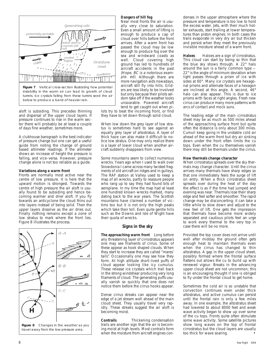

aloft is subsiding. This precedes thinning and dispersal of the upper cloud layers. If pressure continues to rise in the warm sector there will probably be at least a couple of days fine weather, sometimes more.

A clubhouse barograph is the best indicator of pressure change but one can get a useful guide from noting the change of ground based altimeter readings. If the altimeter shows an increase of height the pressure is falling, and vice–versa. However, pressure change alone is not too reliable as a guide.

# **Variations along a warm front**

Fronts are normally most active near the centre of low pressure. It is here that the upward motion is strongest. Towards the centre of high pressure the air aloft is usually found to be subsiding and hence becoming warmer and drier aloft. If you fly towards an anticyclone the cloud thins out into layers instead of being solid. Then the upper layers dissolve as the air dries out. Finally nothing remains except a zone of low stratus to mark where the front lies. Figure 8 illustrates the process.



**Figure 8** Changes in the weather as you travel away from the low pressure area.

# **Dangers of hill fog**

Near most fronts the air is usually very close to saturation. Even a small amount of lifting is enough to produce a cap of cloud over hills before the front arrives. After a warm front has passed the cloud may be low enough to produce fog over the sea and windward coasts as well. Cloud covering high ground has led to hundreds of aircraft accidents in the past (Hope, BC is a notorious example. ed). Although there are more navigation aids nowadays, aircraft still fly into hills. Gliders are less likely to be involved but only because their pilots seldom take off if the weather looks unsoarable. Powered aircraft tend to get caught out when pi-

lots try to beat the incoming front, or find they have to let down through solid cloud.

When low down the grey layer of low stratus is sometimes hard to see against an equally grey layer of altostratus. A layer of thick haze can also make it difficult to notice low stratus. One may only realize there is a layer of lower cloud when another aircraft suddenly disappears from view.

Some mountains seem to collect numerous wrecks. Years ago when I used to walk over Snowdonia I came across many twisted fragments of old aircraft on ridges and in gulleys. The RAF station at Valley used to keep a map of all wrecks, partly to reassure people who rang up to say they had found bits of aeroplane. In my time the map had at least one hundred known wrecks marked, many dating back to the war years. The Scottish mountains have claimed a number of victims too but it is not only the high peaks which take their toll. Even quite gentle hills such as the Downs and Isle of Wight have their quota of wrecks.

# **Signs in the sky**

**The approaching warm front** Long before any threatening layer of cirrostratus appears one may see filaments of cirrus. Some of these appear as hook shaped clouds. When they start to increase they are called "mares' tails". Occasionally one may see how they form. At high altitude short–lived puffs of cloud appear looking like icy cumulus. These release ice crystals which trail back in the strong windshear producing very long filaments of cloud. The generating puffs usually vanish so quickly that one does not notice them before the cirrus hooks appear.

Dense cirrus streaks can appear near the edge of a jet stream well ahead of the main cloud sheet. They usually travel very rapidly. These streaks suggest the air aloft is becoming moist.

**Contrails** Thickening condensation trails are another sign that the air is becoming moist at high levels. Most contrails form when the moisture from aircraft engines con-

denses in the upper atmosphere where the pressure and temperature is too low to hold the excess water. Jets, with their much hotter exhausts, start trailing at lower temperatures than piston engines. In both cases the trails evaporate in very dry air but thicken and persist when they meet the previously invisible moisture ahead of a warm front.

**Haloes** Haloes are a sign of cirrostratus. This cloud can start by being so thin that the blue sky shows through. A 22° halo around the sun is a fairly common type — 22° is the angle of minimum deviation when light passes through a prism of ice with sides at 60°. Many ice crystals are hexagonal prisms and alternate faces of a hexagon are inclined at this angle. A second, 46° halo can also appear. This is due to ice prisms with faces at right angles. Fresh new cirrus can produce many more patterns with arcs of contact and mock suns.

The leading edge of the main cirrostratus sheet may be as much as 500 miles ahead of the approaching surface front but quite often the distance is only about 300 miles. Cumuli keep going in the unstable cold air ahead of the warm front but dry air sinking down under the front often limits the cu tops. Even when the cu themselves vanish there may still be thermals under the cirrus.

#### **How thermals change character**

When cirrostratus spreads over the sky thermals may change character. Until the cirrus arrives many thermals have sharp edges so that one immediately feels the surge of lift on entry. When a thick cirrostratus sheet spreads over during the heat of the day the effect is as if the time had jumped and evening was near. Thermals lose their sharp edge and feel softer and smoother. The rapid change may be disconcerting; it can take a little while to slow down and adjust to the new feel of lift. One gets the impression that thermals have become more widely separated and cautious pilots feel an urge to work every thermal to the very top in case there will be no more.

Provided the top cover does not arrive until well after midday the ground often gets enough heat to maintain thermals even when the cirrus has changed to thin altostratus. A gap in the upper cloud sheet, possibly formed where the frontal surface flattens out allows the cu to build up with renewed vigour. Breaks in the advancing upper cloud sheet are not uncommon; this is an encouraging thought if one is obliged to fly under the frontal cloud to get home.

Sometimes the cold air is so unstable that convection continues even under thick altostratus, and active cumulus can persist until the frontal rain is only a few miles away. In one example, the altostratus sheet had lowered to about 8000 feet and weak wave activity began to show up over some of the cu tops. Fronts quite often stimulate some wave activity. Some satellite pictures show long waves on the top of frontal cirrostratus but the cloud layers are usually too thick for wave soaring.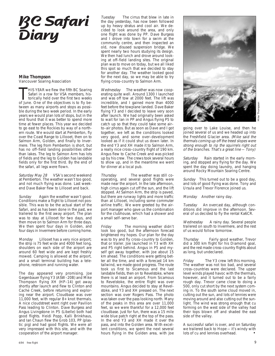# **BC Safari Diary**

# **Mike Thompson**

Vancouver Soaring Association

HIS YEAR we flew the fifth BC Soaring<br>Safari in a row for VSA members, his-<br>torically held over the first two weeks<br>of June. One of the objectives is to fly be-Safari in a row for VSA members, historically held over the first two weeks of June. One of the objectives is to fly between as many airports and stops as possible during the two week period. In the early years we would plan lots of stops, but in the end found that it was better to spend more time at fewer places. This year we decided to go east to the Rockies by way of a northern route. We would start at Pemberton, fly over the Coast Range to Lillooet, then on to Salmon Arm, Golden, and finally to Invermere. The leg from Pemberton is short, but has no off–field landing possibilities other than lakes. The leg to Salmon Arm has lots of fields and the leg to Golden has landable fields only for the first third. By the end of the safari, all legs were flown.

Saturday May 28 VSA's second weekend at Pemberton. The weather wasn't too good, and not much flying was done. Last weekend Dave Baker flew to Lillooet and back.

Sunday Again the weather wasn't good. Conditions make a flight to Lillooet not possible. This was to be the actual start of the Safari, and as has been done in the past, we trailered to the first away airport. The plan was to stay at Lillooet for two days, and then move on to Salmon Arm for three days. We then spent four days in Golden, and four days in Invermere before coming home.

Monday Lillooet has a very nice airport; the strip is 75 feet wide and 4000 feet long, shoulders on each side of the airport are around 60 feet wide and are kept freshly mowed. Camping is allowed at the airport, and a small terminal building has a telephone, restroom and running water.

The day appeared very promising. Joe Gegenbauer flying Y3 (ASW–20B) and Mike Thompson flying XH (HP–14) got away shortly after launch and flew to Clinton and Cache Creek, before returning and exploring near the airport. Cloudbase was over 11,000 feet, with regular 8+ knot thermals. A nice cloudstreet went right over Pavilion Pass leading to Clinton. Dave Burgess and Angus Livingstone in P5 (Libelle) both had good flights. Heidi Popp, Kalli Brinkhaus, and Ian Chaun flew the Grob 103, PP (plastic pig) and had good flights. We were all very impressed with this site, and with the cooperation of the airport manager.

Tuesday The cirrus that blew in late in the day yesterday, has now been followed up by heavy stratus and cool air. We decided to look around the area, and only one flight was done by PP. Dave Burgess and I drove into town for a swim at the community centre, and then inspected an old, now disused suspension bridge. We spent nearly two hours studying its design. We then had lunch and drove around looking at off–field landing sites. The original plan was to move on today, but we all liked this spot so much that we decided to stay for another day. The weather looked good for the next day, so we may be able to try flying cross–country to Salmon Arm.

Wednesday The weather was now cooperating quite well. Around 1300 I launched and was off tow at 2000 feet. The lift was incredible, and I gained more than 4000 feet before the towplane landed. Dave Baker flying Y3 and I decided to leave very soon after launch. We had originally been asked to wait for Ian in PP and Angus flying P5 to catch up so that they could take some air– to–air photos. But as soon as Dave and I got together, we left as the conditions looked very good, and some over–development looked as if it could shut us down later. In the end Y3 and XH made it to Salmon Arm, a really nice cross–country flight of 190 km. Angus flew to Cache Creek and was picked up by his crew. The crews took several hours to show up, and in the meantime we went for dinner at a local pub.

Thursday The weather was still cooperating, and several good flights were made near the airport. In the late afternoon, high cirrus again cut off the sun, and the lift stopped. At Salmon Arm, the strip is paved, but there are runway lights and more traffic than at Lillooet, including some commuter airline traffic. We were greeted by the airport manager who gave us the combination for the clubhouse, which had a shower and a small self–serve bar.

Friday The morning weather didn't look too good, but the afternoon forecast brightened my hopes. Our plan for the day was to try and fly cross–country to Golden, that or trailer. Joe launched in Y3 with XH and P5 right behind. Angus in P5 and myself got away together, with Joe about 15 km ahead. The conditions were getting better all the time, and with a forecast 14 km tailwind, we made good progress. The route took us first to Sicamous and the last landable fields, then on to Revelstoke, where there is at least an airport. From Sicamous to Revelstoke, the entire flight was over mountains. Angus decided to stay at Revelstoke, and Y3 and XH pressed on. The next section was over Rogers Pass. The photo was taken over the pass looking north. Many of the peaks in this area are over 11,000 feet, so we were thankful for a 12,000 feet cloudbase. Just for fun, there was a 15 mile wide blue patch right at the top of the pass. In the end Y3 and XH made it over the pass, and into the Golden area. With excellent conditions, we spent the next several hours flying in the Golden area, with Joe



going over to Lake Louise, and then he joined several of us and we headed up into the Freshfield Glacier area. (Mike said the thermals coming up off the treed slopes were strong enough to rip the squirrels right out of the branches. That's a great line — Tony)

Saturday Rain started in the early morning, and stopped any flying for the day. We spent the day doing laundry, and hanging around Rocky Mountain Soaring Centre.

Sunday This turned out to be a good day, and lots of good flying was done. Tony and Ursula and Trevor Florence joined us.

Monday Another rainy day.

Tuesday An overcast day, although conditions did improve in the afternoon. Several of us decided to fly the rental Ka6CR.

Wednesday A rainy day. Several people trailered on south to Invermere, and the rest of us would follow tomorrow.

Thursday Fairly good weather, Trevor did a 300 km flight for his Diamond goal, and the rest made cross–country flights about as long, but undeclared.

Friday The Y3 crew left this morning. The weather was not too bad, and several cross–countries were declared. The upper level winds played havoc with the thermals, however, and it turned out to be a fairly rough day. Trevor came close to doing a 500, only cut short by the next system coming in. To the south some cloud moved in, cutting out the sun, and lots of lennies were moving around and also cutting out the sunlight. The wind was strong enough that cu forming on the west side of the valley had their tops blown off and shaded the east side of the valley.

A successful safari is over, and on Saturday we trailered back to Hope — it's windy with lots of cu and lennies overhead.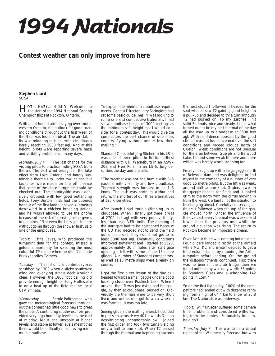# **1994 Nationals**

# **Contest weather can only improve from here**

#### **Stephen Liard** SOSA

HOT... HAZY... HUMID! Welcome to the start of the 1994 National Soaring Championships at Rockton, Ontario.

With a hot humid airmass lying over southwestern Ontario, the outlook for good soaring conditions throughout the first week of the Nats was less than ideal. The air stability was middling to high, with cloudbases barely reaching 3000 feet agl. And at this height, pilots were reporting severe haze and visibility problems on many days.

Monday, July 4 The last chance for the visiting pilots to practise finding SOSA from the air. The east wind brought in the lake effect from Lake Ontario and barely sustainable thermals to under tow height, but launches were made on the off chance that some of the close turnpoints could be checked out. The countryside was extensively cropped, with few good outlanding fields. Tony Burton in EE had the dubious honour of the first landout seven kilometres downwind in a chicken breeding station, and he wasn't allowed to use the phone because of the risk of carrying some germs to the birds. "Not even the boss gets in here without going through the shower first", said one of the employees.

Tidbit: Chris Eaves, who produced the turnpoint data for the contest, missed a golden opportunity for selecting the most colourful TP name when he didn't include Punkydoodles Corners.

Tuesday The first official contest day was scrubbed by 1300 when a sticky southwest wind and overlying stratus deck wouldn't clear. However, the 1800 foot ceiling did provide enough height for Eddy Hollestelle to do a beat up of the field for the local CTV affiliate.

Wednesday Bernie Palfreeman, who gave the meteorological forecasts throughout the contest had little good news to greet the pilots. A continuing southwest flow provided very high humidity levels that peaked at midday. Moist and unstable at higher levels, and stable at lower levels meant that there would be difficulty in achieving minimum cloudbase.

To explain the minimum cloudbase requirements, Contest Director Larry Springford had set some basic guidelines. "I was looking to run a safe and competitive Nationals. I had set a cloudbase height of 3000 feet agl as the minimum safe height that I would consider for a contest day. This would give the competitors the best chance of safe cross country flying without undue low thermalling."

Standard Class pilot Jörg Stieber in his LS–4 was one of three pilots to tie for furthest distance with Ulli Werneburg in an ASW– 20B and Heri Pölzl in an LS–6. Jörg describes the day and the task:

"The weather was hot and humid with 3–5 nautical mile visibility and low cloudbase. Thermal strength was forecast to be 1–3 knots. The task was north to Arthur and return, the shortest of our three alternatives at 126 kilometres.

After launch I had trouble climbing up to cloudbase. When I finally got there it was at 2700 feet agl with very poor visibility, less than legal VFR limits. The opening of the start gate had to be postponed because the CD had decided not to send the field out on course if they could not get to at least 3000 feet agl. Eventually conditions improved somewhat and I started at 1520, approximately 30 minutes after start gate opening. I left with some of the 15 metre gliders. A number of Standard competitors, as well as 15 metre ships were already on course.

I got the first bitter lesson of the day as I headed towards a small gaggle under a good looking cloud over Puslinch Lake. When I arrived, the lift was just dying and the gaggle, by then at cloudbase, pushed on. Obviously the thermals were to be very short lived and unless one got to a cu when it was forming, it was too late.

Seeing gliders thermalling ahead, I decided to press on across Hwy 401 towards Guelph despite being uncomfortably low. I joined the first glider and took two turns yielding only a half to one knot. When T2 passed through the thermal and kept going towards

the next cloud I followed. I headed for the spot where I saw T2 gaining good height in a pull–up and decided to try a turn although T2 had pushed on. To my surprise I hit solid 3+ knots, nice and steady. I took what turned out to be my best thermal of the day all the way up to cloudbase at 3500 feet agl. With confidence boosted by the good climb I was not too concerned over the soft conditions and ragged clouds north of Guelph. Weak conditions are not unusual for the area between Guelph and Belwood Lake. I found some weak lift here and there which was hardly worth stopping for.

Finally I caught up with a large gaggle north of Belwood dam and was delighted to find myself in the company of a number of very good 15 metre pilots. But the lift was weak, around half to one knot. Gliders lower in the gaggle headed for fields and it looked grim to the north with the cirrus moving in from the west. Certainly not the situation to be charging ahead. Carefully conserving altitude, I followed when the top of the gaggle moved north. Under the influence of the overcast, every thermal was weaker and lower than the previous one while the ground elevation was rising. The return to Rockton became an impossible dream.

Over Arthur there was nothing but dead air. Four gliders landed directly at the airfield while MZ, KC and myself decided to get a little extra distance by rounding the Arthur turnpoint before landing. On the ground the disappointments continued. First there was no beer in the club fridge, then we found out the day was only worth 86 points in Standard Class and a whopping 142 points in 15m."

So on the first flying day, 100% of the competitors had landed out with distances ranging from a high of 64.4 km to a low of 25.8 km. The Nationals was underway.

Tidbit: Wilf Krueger suffered some camera timer problems and considered withdrawing from the contest. Fortunately for him, he didn't.

Thursday, July 7 This was to be a virtual repeat of the Wednesday forecast, but with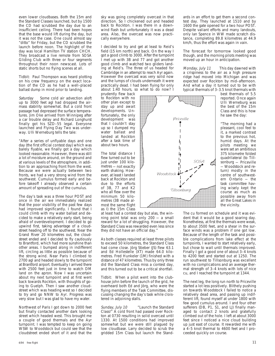even lower cloudbases. Both the 15m and the Standard Classes launched, but by 1500 the CD had scrubbed the day due to an insufficient ceiling. There had been hopes that the base would lift during the day, but it was not the case. One could almost say "ditto" for Friday, but the CD scrubbed the launch before noon. The highlight of the day was local Hamilton TV station CHCH. They broadcast a live remote from SOSA Gliding Club with three or four segments throughout their noon newscast. Lots of static shorts but no flying scenes at all.

Tidbit: Paul Thompson was heard plotting on his crew frequency on the exact location of the CD as he had a well–placed ballast dump in mind prior to landing.

Saturday Some cold air advection aloft up to 3000 feet agl had dropped the airmass stability somewhat. But a cold front passage had depressed the surface temperatures. Jim Oke arrived from Winnipeg after a car trouble delay and Richard Longhurst finally got his SZD–55 legal. Everyone launched and Flying Day Two was underway. Ulli Werneburg tells the tale:

"After a series of unflyable days and one day (the first official contest day) which was barely flyable, we finally got a day which looked reasonable. However, there was still a lot of moisture around, on the ground and at various levels of the atmosphere, in addition to an approaching front from the west. Because we were actually between two fronts, we had a very strong wind from the southwest. Cumulus formed early and before takeoff I already observed a certain amount of spreading out of the cumulus.

The day's task was a three hour POST and once in the air we immediately realized that the poor visibility of the past few days had improved significantly. I found that I could climb with my water ballast and decided to make a relatively early start, being afraid of overdevelopment. I decided to go upwind first, taking advantage of a cloudstreet heading off to the southwest. Near the Grand River 20 kilometres out, the cloudstreet ended and I decided to fly cautiously to Brantford, which had more sunshine than other areas. I bumped along in indifferent lift, circling as little as possible because of the strong wind. Near Paris I climbed to 2700 agl and headed slowly to the turnpoint at Brantford airport. Eventually I arrived there with 2500 feet just in time to watch DM land on the apron. Now I was uncertain about my next turnpoint and at first went back towards Rockton, with thoughts of going to Guelph. Then I saw another cloudstreet which was heading west so I decided to try and go NNW to Ayr. Progress was very slow but I was glad to have my water.

Northwest of Paris I got down to 2000 feet but finally contacted another dark looking street which headed west. This brought me a couple of good thermals and the Ayr turnpoint. I was tempted to keep on going WSW to Woodstock but could see that the cloudstreet ended short of it and that the

sky was going completely overcast in that direction. So I chickened out and headed back to Rockton. I was there in a downwind flash but unfortunately it was a dead area. Also, the overcast was now practically everywhere.

I decided to try and get at least to Reid's field (15 km north) and back. On the way I got a good climb to 3000. After the turnpoint I met up with 3B and 77 and got another good climb and watched two gliders landing at Reid's. The three of us headed for Cambridge in an attempt to reach Ayr again. However the overcast was very solid now and the lumps of clouds underneath it were practically dead. I had been flying for only about 1:40 hours, so what to do now? I

prudently flew back to Rockton with no other plan except to stay up and await developments. Unfortunately, the only development was that I couldn't stay up so I dumped my water ballast and landed at Rockton after a task time of about two hours.

The total distance I flew turned out to be just under 100 kilometres — not exactly earth shaking. However, at least I landed back at Rockton and due to the efforts of 3B, 77 and K2 who all flew over the minimum 50 kilometres (3B made almost the same flight as I) the 15m Class

at least had a contest day but alas, the winning point total was only 200 — a small reward for a lot of struggling. However, the Standard Class was rewarded even less since they did not have an official day."

As both classes required at least three pilots to exceed 50 kilometres, the Standard Class had come close. Jörg Stieber (JS) flew 63.1 and Ed Hollestelle (XT) made 64.0 kilometres. Fred Hunkeler (1M) finished with a distance of 47 kilometres. Thus by only three did the Standard Class miss a contest day, and this turned out to be a critical shortfall.

Tidbit: When a pilot went into the clubhouse john before the launch of the grid, he overheard both Ed and Jörg, who were the flying members of the Task Committee, discussing changing the day's task while cloistered in adjoining stalls.

Sunday, July 10 ... "Launch the Standard Class!" A cold front had passed over Rockton at 0730 resulting in solid overcast until 1330. At 1500 conditions had improved somewhat but we were still plagued by low cloudbase. Larry decided to scrub the gridded 15m Class but launch the Standards in an effort to get them a second contest day. They launched at 1510 and by 1600 the gate opened for a two hour POST. Despite valiant efforts and many landouts, only Ian Spence in WW made scratch distance, completing 89.8 kilometres at 44.9 km/h, thus the effort was again in vain.

The forecast for tomorrow looked good though, and the morning pilots meeting was moved up an hour in anticipation.

Monday, July 11 This day dawned with a crispiness to the air as a high pressure ridge had moved into Michigan and was expected over Rockton by mid–afternoon. And what a day it turned out to be with typical thermals of 3–3.5 knot thermals with

> best thermals of 5.5 reported. Once again Ulli Werneburg was the best of the 15m Class and this is how he saw the day:

> "The morning had a pleasant, cool feel to it, a marked contrast to the previous hot, humid days. At the pilots meeting we were set an ambitious 375 kilometre folded quadrilateral (to Tillsonburg — Priceville — Woodstock and return) mostly in the centre of southwestern Ontario — the task committee having wisely kept the course as much as possible away from all the Great Lakes in the vicinity.

The cu formed on schedule and it was evident that it would be a good soaring day. Nonetheless, at first the thermals were weak, to about 3500 feet, and a shear in the surface winds was a problem if one got low. Because of the length of the task and possible complications from lake effect at the turnpoints, I wanted to start relatively early, but chose to wait until thermals improved. Finally I got a good one of about 3–4 knots to 4200 feet and started out at 1250. The run southwest to Tillsonburg was excellent with no complications and an average thermal strength of 3–4 knots with lots of nice cu, and I reached the turnpoint at 1344.

The next leg, the long run north to Priceville started a lot less positively. Blithely pushing on towards Woodstock I failed to notice a relatively dead area, and passing up indifferent lift, found myself at under 1800 with few good cumulus around. I and four other sufferers (DB, P1, S1, and LJ) finally managed to contact 2 knots and gratefully climbed out of the hole. I left at about 3000 feet since I noticed a nice cloud building up just east of course. It rewarded me with a 4–5 knot thermal to 4600 feet and I proceeded quickly on course.

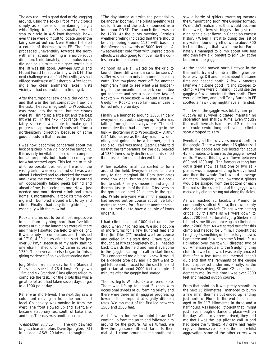The day required a good deal of zig–zagging around, using the so–so lift of many clouds simply as a means of maintaining height while flying straight. Occasionally I would stop to circle in 4–5 knot thermals, however these were difficult to locate under the fairly spread out cu. Near Elmira I shared a couple of thermals with EE. The flight proceeded uneventfully towards the north with small streets forming in a north–south direction. Unfortunately, the cumulus bases did not go up with the higher terrain but the lift was still good. Between Arthur and Mount Forest I met up briefly with DM. The next challenge was to find Priceville, a small village southwest of Flesherton. After locating a few clear landmarks (lakes) in its vicinity, I had no problem in finding it.

After the turnpoint I saw one glider going in and that was the last competitor I saw on the task. The return leg south to Woodstock was more into the wind, but the clouds were still lining up a little bit and the best lift was still in the 4–5 knot range, though fairly scarce. I was able to make good progress. I approached Woodstock from a northeasterly direction because of some good clouds in that direction.

I was now becoming concerned about the lack of gliders in the vicinity of the turnpoint. It is usually inevitable to see other competitors at turnpoints, but I hadn't seen anyone for what seemed ages. This led me to think of three possibilities: either I was on the wrong task, I was way behind or I was well ahead. I checked and re–checked the course and it was the correct one. So I just carried on, occasionally taking peeks behind and ahead of me, but seeing no one. Now I just needed one more decent climb and I was home. Unfortunately, it took its time coming and I bumbled around a bit to try and climb. Finally I had easy final glide height, especially with the tailwind.

Rockton turns out to be almost impossible to spot from anything more than five kilometres out, but the landmarks were all there and finally I spotted the field to my delight. It was empty of competitors and I finished at 1710, 4:20 hours after the start for just over 87 km/h. Because of my early start no one else finished until K2 came across at 1730. Then everyone else began to finish, giving evidence of an excellent soaring day."

Jörg Stieber won the day for the Standard Class at a speed of 78.4 km/h. Only two 15m and six Standard Class gliders failed to complete the task. For the pilots this was a great relief as it had taken seven days to get to a 1000 point day.

Relief was short–lived. The next day saw a cold front moving in from the north and local Cb activity was moving in from the west. The front slowed up and eventually became stationary just south of Lake Erie, and thus Tuesday was another scrub.

Wednesday, July 13 The day dawned bright, clear and blue. Dave Springford (S1) in his dad's ASW–20 takes us through it:

"The day started out with the potential to be another boomer. The pilots meeting was set for 9 am and the task announced as a four hour POST. The launch time was to be 1200. At the pilots meeting, Bernie's weather briefing indicated that there should be cu popping around 1130 with bases in the afternoon upwards of 5000 feet agl. A "weatherless" cold front with unpredictable effects was also going to move into the contest area in the afternoon.

At noon as we all waited on the grid to launch there still wasn't a cu to be seen. A sniffer was sent up only to plummet back to earth. The towplane went off for another tephigram flight to see what was happening. In the meantime the task committee got together and set a secondary task of Rockton — Woodstock — Mount Forest — Guelph — Rockton (236 km) just in case it turned into a blue day.

Finally we launched around 1300. Initially everyone had trouble staying up. Water was falling from gliders everywhere. The task committee then had another change to the task — shortening it to Woodstock — Arthur (194 kilometres) as the day was now definitely not going to be a boomer, and a radio roll call was made. (Later Bernie told us that the temperature for the day peaked at 1330 then slowly declined and this killed the prospect for cu and decent lift.)

A few isolated small cu started to form around the field. Everyone raced to them only to find marginal lift. Both start gates were now open, but no one was in a position to start. Finally someone found a good thermal just south of the field. Observers on the ground counted 21 gliders in the gaggle. While everyone was in this gaggle, I had moved out on course about five kilometres to check for lift under another small cu. It turned out to have a couple of knots under it.

I had climbed about 1000 feet under the cloud when 77 joined me. We did a couple of more turns for a few hundred feet and then Jim Oke (77) headed west on course and called in his start time. Brave guy, I thought, as it was completely blue. I headed back towards the field and heard everyone in the gaggle starting to call in start times. This concerned me a bit as I knew it would be a gaggle type day and I didn't want to get left behind. I raced for the start line and got a start at about 2000 feet a couple of minutes after the gaggle had started.

The first leg to Woodstock was reasonable. There was lift up to about 2 knots with occasional shreds of cu forming briefly and there were three small gaggles progressing towards the turnpoint at slightly different rates. We ran most of the first leg between 1500 and 2500 feet.

As I flew in for the turnpoint I saw MZ coming up from the south and followed him around for the picture. As we turned, we flew through some lift and started to thermal. As I came around to the southeast I saw a horde of gliders swarming towards the turnpoint and soon "the Gaggle" formed. (We didn't realize that this would become the lowest, slowest, biggest, longest running gaggle ever flown in Canadian contest history.) When I left it to dump the last of my water I found myself down to about 800 feet and thought that I was done for. Fortunately I managed to climb about 400 feet and then flew a kilometre to join 1M at the bottom of the gaggle.

As the gaggle moved north I stayed in the thermal to try and climb a little higher before leaving. DB and I left at about the same time and headed north. A few kilometres later we hit some good lift and stopped to climb. As we were climbing I could see the gaggle a few kilometres further north. They were quite low, and until Tony Burton in EE spotted a hawk they might have all landed.

The size of the gaggle was totally non–productive as survival dictated maintaining separation and shallow turns. Even though the small thermals had cores of 2 knots, no one could centre long and average climbs soon dropped to zero.

Eventually all the survivors moved north in the gaggle. There were about 16 gliders still left in the gaggle and this lasted for about 45 kilometres to Elmira as the gaggle moved north. Most of this leg was flown between 800 and 1800 agl. The farmers cutting hay got a great show as first one or two sailplanes would appear circling low overhead and then the whole flock would converge on them. Regularly the lowermost gliders would be scraped from the bottom of each thermal so the courseline of the gaggle was marked by gliders strung out along the fields.

As we reached St. Jacobs, a Mennonite community south of Elmira, there were only about eight of us left. Things were getting critical by this time as we were down to about 700 feet. Fortunately Jörg Stieber and I found some lift and once again climbed to about 2000 feet. As we spread out after this climb and headed for Elmira, I thought that I might get something off the factory in town. I got there and flew into some 3 knot lift. As I climbed over the town, I directed two of our American pilots into the Guelph gliding club strip west of town. I was really amazed that after a few turns the thermal hadn't quit and that the remnants of the gaggle hadn't appeared under me. Finally, as the thermal was dying, ST and K2 came in underneath me. By this time I was over 2000 feet and headed out on course.

From that point on it was pretty smooth. In the next 15 kilometres I managed to bump a few small thermals but ended up landing just north of Elora. In the end I had managed to fly 117 kilometres in three and a half hours. As I landed I thought that I might just have enough distance to place well on the day. When my crew arrived, they told me that I was the last pilot to call in and had gone the furthest. My crew had really enjoyed themselves back at the field whilst aggravating some of the other crews with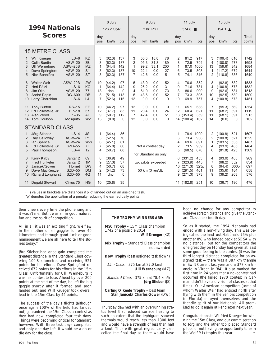| <b>1994 Nationals</b><br><b>Scores</b>                                                                                                                                                                                                   |                                                                      |                                                                         | 6 July<br>126.2 O&R                              |                                                |                                     | 9 July<br>3 hr PST                                          |                                      |                                           | 11 July<br>374.8                 |                                                  |                                                     | 13 July<br>194.1 $\triangle$     |                                     |                                                    |                                  |                                      |
|------------------------------------------------------------------------------------------------------------------------------------------------------------------------------------------------------------------------------------------|----------------------------------------------------------------------|-------------------------------------------------------------------------|--------------------------------------------------|------------------------------------------------|-------------------------------------|-------------------------------------------------------------|--------------------------------------|-------------------------------------------|----------------------------------|--------------------------------------------------|-----------------------------------------------------|----------------------------------|-------------------------------------|----------------------------------------------------|----------------------------------|--------------------------------------|
|                                                                                                                                                                                                                                          |                                                                      |                                                                         | day<br>pos                                       | km/h                                           | pts                                 | day<br>pos                                                  | km l                                 | km/h                                      | pts                              | day                                              | pos km/h                                            | pts                              | day<br>pos                          | km/h                                               | pts                              | Total<br>points                      |
| <b>15 METRE CLASS</b>                                                                                                                                                                                                                    |                                                                      |                                                                         |                                                  |                                                |                                     |                                                             |                                      |                                           |                                  |                                                  |                                                     |                                  |                                     |                                                    |                                  |                                      |
| <b>Wilf Krueger</b><br>1<br>$\overline{2}$<br><b>Colin Bantin</b><br>3<br><b>Ulli Werneburg</b><br>Dave Springford<br>$\overline{4}$<br>Nick Bonnière<br>5                                                                               | $LS-6$<br><b>ASW-20</b><br>ASW-20B<br><b>ASW-20</b><br><b>ASW-20</b> | K <sub>2</sub><br>3B<br>MZ.<br>S1<br><b>ST</b>                          | 3<br>3<br>1<br>3<br>3                            | (62.3)<br>(62.3)<br>(64.4)<br>(62.3)<br>(62.3) | 137<br>137<br>142<br>137<br>137     | 3<br>$\overline{2}$<br>$\mathbf{1}$<br>10<br>$\overline{7}$ | 56.3<br>95.3<br>99.2<br>22.4<br>42.6 | 18.8<br>31.8<br>33.1<br>0.0<br>0.0        | 78<br>189<br>200<br>27<br>51     | $\overline{2}$<br>8<br>$\mathbf{1}$<br>6<br>5    | 81.2<br>72.5<br>87.0<br>73.5<br>74.1                | 917<br>794<br>1000<br>808<br>816 | 3<br>4<br>13<br>1<br>$\overline{2}$ | (106.4)<br>(100.8)<br>(59.6)<br>(117.2)<br>(110.8) | 610<br>578<br>342<br>672<br>636  | 1742<br>1698<br>1684<br>1644<br>1640 |
| <b>Walter Weir</b><br>6<br>Heri Pölzl<br>7<br>8<br>Jim Oke<br>9<br>André Pepin<br>Lorry Charchian<br>10                                                                                                                                  | ASW-20B<br>$LS-6$<br><b>ASW-20</b><br><b>DG-600</b><br>$LS-6$        | 2W<br>KC<br>77<br><b>DB</b><br>LJ                                       | 10<br>1<br>13<br>8<br>7                          | (44.2)<br>(64.4)<br>dnc<br>(51.5)<br>(52.6)    | 97<br>142<br>$\Omega$<br>113<br>116 | 5<br>9<br>4<br>5<br>12                                      | 43.0<br>26.2<br>61.0<br>43.6<br>0.0  | 0.0<br>0.0<br>0.0<br>0.0<br>0.0           | 52<br>31<br>73<br>52<br>$\Omega$ | $\overline{4}$<br>9<br>3<br>$\overline{7}$<br>10 | 76.6<br>71.6<br>80.6<br>73.3<br>69.9                | 852<br>781<br>909<br>805<br>757  | 8<br>4<br>9<br>10<br>4              | (92.8)<br>(100.8)<br>(92.6)<br>(92.5)<br>(100.8)   | 532<br>578<br>531<br>530<br>578  | 1533<br>1532<br>1513<br>1500<br>1451 |
| <b>Tony Burton</b><br>11<br>Ed Hollestelle, Jr<br>12<br>13<br>Alan Wood<br>14<br><b>Tom Coulson</b>                                                                                                                                      | $RS-15$<br>$HP-18$<br>$1 - 35$<br>Mosquito                           | EE<br>57<br>A <sub>O</sub><br>W <sub>2</sub>                            | 10<br>12<br>9<br>13                              | (44.2)<br>(37.7)<br>(50.7)<br>(0.0)            | 97<br>83<br>112<br>$\Omega$         | 12<br>11<br>$\overline{7}$<br>12                            | 0.0<br>20.4<br>42.4<br>0.0           | 0.0<br>0.0<br>0.0<br>0.0                  | $\Omega$<br>24<br>51<br>$\Omega$ | 11<br>12<br>13<br>14                             | 65.1<br>60.4<br>(353.4)<br>(100.4)                  | 688<br>621<br>359<br>102         | 7<br>11<br>11<br>14                 | (99.3)<br>(68.2)<br>(68.1)<br>(0.0)                | 569<br>391<br>391<br>$\Omega$    | 1354<br>1119<br>913<br>102           |
| <b>STANDARD CLASS</b>                                                                                                                                                                                                                    |                                                                      |                                                                         |                                                  |                                                |                                     |                                                             |                                      |                                           |                                  |                                                  |                                                     |                                  |                                     |                                                    |                                  |                                      |
| Jörg Stieber<br>-1<br>$\overline{2}$<br>Ray Galloway<br>3<br>lan Spence<br>Ed Hollestelle, Sr<br>$\overline{4}$<br>5<br>Paul Thompson                                                                                                    | $LS-4$<br><b>ASW-24</b><br><b>ASW-24</b><br>SZD-55<br>$LS-4$         | <b>JS</b><br>P <sub>1</sub><br><b>WW</b><br><b>XT</b><br>T <sub>2</sub> | 1<br>3<br>6<br>7<br>4                            | (64.4)<br>(52.5)<br>(45.1)<br>(45.0)<br>(50.7) | 86<br>70<br>61<br>60<br>68          |                                                             |                                      | Not a contest day<br>for Standard as only |                                  | 1<br>3<br>$\overline{4}$<br>$\overline{2}$<br>5  | 78.4<br>73.4<br>69.6<br>73.5<br>(68.5)              | 1000<br>938<br>891<br>939<br>878 | 2<br>2<br>$\mathbf{1}$<br>4<br>6    | (100.8)<br>(100.8)<br>(103.5)<br>(93.9)<br>(81.8)  | 521<br>521<br>535<br>485<br>423  | 1607<br>1529<br>1487<br>1484<br>1369 |
| 6<br><b>Kerry Kirby</b><br>$\overline{7}$<br><b>Fred Hunkeler</b><br>8<br>Janicek/Gower<br>9<br>Dave MacKenzie<br>Richard Longhurst<br>10                                                                                                | Jantar 2<br>Jantar 2<br>Hornet<br>$SZD-55$<br><b>SZD-55</b>          | 69<br>1M<br><b>DW</b><br><b>DM</b><br>4Q                                | 8<br>9<br>$\overline{4}$<br>$\overline{2}$<br>11 | (36.9)<br>(27.3)<br>(50.7)<br>(54.2)<br>dnc    | 49<br>37<br>68<br>73<br>$\Omega$    |                                                             |                                      | two pilots exceeded<br>50 km (3 req'd).   |                                  | 6<br>7<br>10<br>8<br>9                           | (331.2)<br>(323.9)<br>(271.3)<br>(291.5)<br>(271.3) | 455<br>445<br>323p<br>401<br>373 | 4<br>7<br>8<br>11<br>9              | (93.9)<br>(68.2)<br>(64.4)<br>(35.6)<br>(39.2)     | 485<br>352<br>306p<br>184<br>203 | 989<br>834<br>697<br>658<br>576      |
| <b>Dugald Stewart</b><br>11                                                                                                                                                                                                              | Cirrus 75                                                            | <b>HG</b>                                                               | 10                                               | (25.8)                                         | 35                                  |                                                             |                                      |                                           |                                  |                                                  | 11 (182.8)                                          | 251                              | 10                                  | (36.7)                                             | 190                              | 476                                  |
| $\left( \quad \right)$ is a set of the problem of the distance of the distribution of the set of the set of the set of the set of the set of the set of the set of the set of the set of the set of the set of the set of the set of the |                                                                      |                                                                         |                                                  |                                                |                                     |                                                             |                                      |                                           |                                  |                                                  |                                                     |                                  |                                     |                                                    |                                  |                                      |

( ) values in brackets are distances if pilot landed out on an assigned task. "p" denotes the application of a penalty reducing the earned daily points.

their cheers every time the phone rang and it wasn't me. But it was all in good natured fun and the spirit of competition.

All in all it was an exciting flight. We flew in the mother of all gaggles for over 40 kilometres and through good luck or good management we are all here to tell the stories today."

Jörg Stieber had once gain completed the greatest distance in the Standard Class covering 100.8 kilometres and receiving 521 points for his efforts. Dave Springford received 672 points for his efforts in the 15m Class. Unfortunately for Ulli Werneburg it was his contest to lose. Ahead by over 200 points at the start of the day, he left the big gaggle shortly after it formed and soon landed out, and Wilf Krueger took overall lead in the 15m Class by 44 points.

The success of the day's flights (although once again 100% of the field had landed out) guaranteed the 15m Class a contest as they had now completed four task days. Things were becoming critical for Standard however. With three task days completed and only one day left, it would be a do or die day for the class.

# **THE TROPHY WINNERS ARE:**

**MSC Trophy** – 15m Class champion 1742 of a possible 2014 **Wilf Krueger** (K2)

**Mix Trophy** – Standard Class champion not awarded

**Dow Trophy** (best assigned task flown)

 15m Class – 375 km at 87.0 km/h **Ulli Werneburg** (MZ)

 Standard Class - 375 km at 78.4 km/h **Jörg Stieber** (JS)

**Carling O'Keefe Trophy** – best team **Stan Janicek/ Charles Gower** (DW)

Thursday dawned with an overrunning stratus level that reduced surface heating to such an extent that the tephigram showed thermals would reach less than 1300 feet and would have a strength of less than half a knot. Thus with great regret, Larry cancelled the final day as there would have

been no chance for any competitor to achieve scratch distance and give the Standard Class their fourth day.

So as it started, the 1994 Nationals had ended with a non–flying day. This was being called the land–out Nationals (75% plus another 8% who landed back at SOSA with no distance), but for the competitors the one great day on Monday had given at least some good feeling to the contest (it was the third longest distance completed for an assigned task — there was a 387 km triangle in Swift Current last year and a 377 km triangle in Virden in '84). It also marked the first time in 24 years that a no–contest had occurred (the failed 1970 contest in Carman didn't have a division of classes at that time). Our American competitors (some of whom Walter Weir had enticed north after flying with them in the Seniors competition in Florida) enjoyed themselves and the friendly spirit of our Nationals. All promised to do it again at Pendleton next year.

Congratulations to Wilfried Krueger for winning the 15m Class, and our commiseration to Jörg and the other top placed Standard pilots for not having the opportunity to earn the Wolf Mix trophy this year.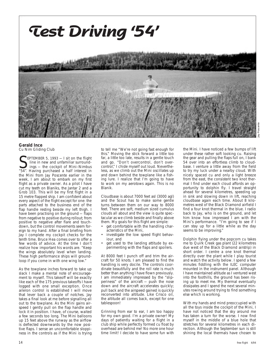

**Gerald Ince** Cu Nim Gliding Club

SEPTEMBER 5, 1993 - I sit on the flight<br>
line in new and unfamiliar surround-<br>
"54". Having purchased a half interest in EPTEMBER 5, 1993  $-1$  sit on the flight line in new and unfamiliar surroundings — the cockpit of Mini–Nimbus the Mini from Jay Poscente earlier in the week, I am about to embark on my first flight as a private owner. As a pilot I have cut my teeth on Blaniks, the Jantar 2 and a Grob 103. This will be my first flight in a 15 metre flapped ship. I am confident about every aspect of the flight except for one: the parts attached to the business end of the flap handle resting beside my left thigh. I have been practising on the ground — flaps from negative to positive during rollout; from positive to negative after flare and touchdown, but the control movements seem foreign to my hand. After a final briefing from Jay I complete my cockpit checks for the tenth time. Bruce Hea comes over to offer a few words of advice. At the time I don't realize how important his words are. "Keep the wings absolutely level when landing. These high performance ships will groundloop if you come in with one wing low."

As the towplane inches forward to take up slack I make a mental note of encouragement to myself. This takeoff will be exactly like each of the 175 previous takeoffs I have logged with one small exception. Once aileron control is established I will move that lever back a couple of notches. Jay takes a final look at me before signalling all out to the towplane. As the Mini gains airspeed I gently pull on the flap handle and lock it in position. I have, of course, waited a few seconds too long. The Mini balloons up 15 feet above the runway as the airflow is deflected downwards by the now positive flaps. I sense an uncomfortable sloppiness in the controls as if the Mini is trying to tell me "We're not going fast enough for this." Moving the stick forward a little too far, a little too late, results in a gentle touch and go. "Don't overcontrol, don't overcontrol," I chide myself out loud. Nevertheless, as we climb out the Mini oscillates up and down behind the towplane like a fishing lure. I realize that I'm going to have to work on my aerotows again. This is no Blanik.

Cloudbase is about 7000 feet asl (3000 agl) and the Scout has to make some gentle turns between them on our way to 8000 feet. There are soft, medium sized cumulus clouds all about and the view is quite spectacular as we climb beside and finally above them. My goals for this flight are simple:

- get comfortable with the handling characteristics of the Mini,
- investigate the low speed flight behaviour, and
- get used to the landing attitude by experimenting with the flaps and spoilers.

At 8000 feet I punch off and trim the aircraft for 50 knots. I am pleased to find the handling is very docile. The controls coordinate beautifully and the roll rate is much better than anything I have flown previously. I am immediately impressed by the "slipperiness" of the aircraft — push the nose down and the aircraft accelerates quickly; pull back and the airspeed gained is quickly reconverted into altitude. Like Crisco oil, the altitude all comes back, except for one tablespoon!

Grinning from ear to ear, I am too happy for my own good. I'm a private owner! My days of patiently waiting for a flight in a club ship while perfectly formed cu float by overhead are behind me! No more one hour time limit! I decide to have some fun with the Mini. I have noticed a few bumps of lift under these rather soft looking cu. Raising the gear and pulling the flaps full on, I bank 54 over into an effortless climb to cloudbase. I venture a little away from the field to try my luck under a nearby cloud. With nicely spaced cu and only a light breeze from the east, the consistent two knot thermal I find under each cloud affords an opportunity to dolphin fly. I travel straight ahead for several kilometres, speeding up in sink and slowing down in lift, reaching cloudbase again each time. About 8 kilometres west of the Black Diamond airfield I find a four knot thermal in the blue. I radio back to Jay, who is on the ground, and let him know how impressed I am with the Mini's performance. "I'm going to see if I can stay up for a little while as the day seems to be improving."

Dolphin flying under the popcorn cu takes me to Quirk Creek gas plant (22 kilometres due west of the Black Diamond airstrip) in short order. I centre a one knot thermal directly over the plant while I play tourist and watch the activity below. I spend a few minutes fiddling with the ILEC computer mounted in the instrument panel. Although I have maintained altitude as I ventured west into the foothills, the ground has been rising up to meet me. My thermal eventually dissipates and I spend the next several minutes rowing around trying to find something else which is working.

With my hands and mind preoccupied with all the toys inside the cockpit of the Mini, I have not noticed that the sky around me has taken a turn for the worse. I now find myself in the middle of a blue hole that stretches for several kilometres in each direction. Although the September sun is still shining the local thermals have chosen to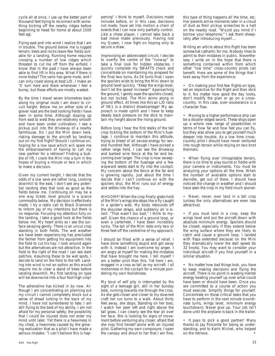cycle all at once. I use up the better part of thousand feet trying to reconnect with something kicking off the nearby ridges before beginning to head for home at about 1500 feet agl.

Flying east and into wind I realize that I am in trouble. The ground below me is rugged terrain; trees and rocks leave few fields suitable for a landing. Running home requires crossing a number of low ridges which threaten to cut me off from the airfield. I know that in the past I have always been able to find lift in this area. What if there is none today? The vario has gone mute, and I can only coast along at best L/D. I make an 'S' turn here and there whenever I feel a bump, but these efforts are mostly wasted.

By the time I travel seven kilometres back along my original route I am down to circuit height. Below me on either side of a gravel road are the best looking fields I have seen in some time. Although sloping up from east to west they are relatively smooth and have been under cultivation. I see a pickup pull into the driveway of a nearby farmhouse. Do I put the Mini down here, risking damage to the aircraft by landing out on my first flight? Should I continue on, hoping for a low save which will spare me the embarrassment of having to call my new partner for a retrieve? Finding a bubble of lift, I crank the Mini into a turn in the hopes of buying a minute or two in which to make a decision.

Given my current height, I decide that the odds of a low save are rather long. Looking downhill to the east, I don't see any potential landing sites that look as good as the fields below me. Continuing on may be a one way ticket; level ground is a scarce commodity below. My decision is effectively made. I try a radio call to Black Diamond to inform Jay of my intentions but there is no response. Focusing my attention fully on the landing, I take a good look at the fields below me. My heart sinks as I see the surface swaying gently. There is an uncut crop standing in both fields. The wet weather we have been experiencing has precluded the farmer from getting his equipment into the field to cut his hay. I look around again but the alternatives are not attractive. In the field to the right of the road I can see dark patches. Assuming these to be wet spots, I decide to land on the field to the left. Landing into wind is not an option as this would require me to clear a stand of trees before landing downhill. My first landing on type will be downwind into a four foot high crop!

The adrenaline has kicked in by now. Although I am concentrating on planning out my circuit I cannot completely block out a sense of dread lurking in the back of my mind. I have not surrendered to fate; I am still flying to the best of my ability. I am not afraid for my personal safety; the possibility that I could be injured does not enter my mind until later. Yet there is a heaviness in my chest, a heaviness caused by the growing realization that as a pilot I have made a serious mistake. "I can't believe this is happening" I think to myself. Decisions made minutes before, or in this case, decisions not made, have set into motion a chain of events that I can now only partially control. Like a chess player, I cannot take back a bad move made previously. Having lost my Queen, I now fight on hoping only to secure a draw.

Improvising an abbreviated circuit, I decide to overfly the centre of the "runway" to take a final look for hidden obstacles. I quickly complete my SWAFTS check and concentrate on maintaining my airspeed for the final two turns. As 54 turns final I open the spoilers wide to bring the Mini down to ground level quickly. "Keep the wings level, don't let the speed increase!" Approaching the ground, I gently ease the spoilers closed, but not locked. The Mini skims along in ground effect. At times like this an L/D ratio of 39:1 is a distinct disadvantage! My approach is made uphill and I have to keep steady back pressure on the stick to maintain my height above the rising ground.

Before long I hear the first stalks of the tall crop tickling the bottom of the Mini's fuselage. I continue to maintain this attitude, trying to bleed of all excess energy for several hundred feet. Although I have picked a rather large field, I can see the driveway and barbed wire fence at the far end becoming ever larger. The crop is now sweeping the bottom of the fuselage and a few wayward seeds start to fly into the cockpit. My concern about the fence at the far end is growing rapidly. Just about the time I decide that I can't continue on with the spoilers shut, the Mini runs out of energy and settles into the hay.

WHOOMP! When the crop finally grabs hold of the Mini's wings she stops like a fly caught in a spider's web. My body rebounds off the shoulder straps, and suddenly all is silent. "That wasn't too bad," I think to myself. Given the chance of a ground loop, or even a cartwheel, I have been incredibly lucky. The tail of the Mini rests only two or three feet off the centreline of my approach.

I should be filled with a sense of relief. I have done something stupid and got away with it. Instead I am overcome by anger. I am angry at myself for making the mistakes that have brought me here. I tell myself I am a better pilot than this. Yet here I am, snagged in a crop as tall as my aircraft. I sit motionless in the cockpit for a minute pondering my own foolishness.

My bout of self pity is interrupted by the sight of a teenage girl, still in her Sunday best, running towards me through the crop. As she gets closer and closer to my downed craft her run turns to a walk. About thirty feet away, she stops. Standing on her toes, I watch her peer left and right above the tall grass. I can clearly see the fear all over her face. She is looking for signs of movement before venturing any closer, afraid that she may find herself alone with an injured pilot. Gathering my own composure, I open the canopy and shout to her that I am fine,

this type of thing happens all the time, etc. Her parents arrive moments later in a cloud of dust as their pickup screeches to a halt on the nearby road. "Would you mind if I borrow your telephone," I ask them sheepishly after introducing myself....

Writing an article about this flight has been somewhat cathartic for me. Nobody likes to admit to their mistakes in public. Nevertheless, I write on in the hope that there is something contained within from which other "low time" cross–country pilots can benefit. Here are some of the things that I took away from the experience:

• On making your first few flights on type, set an objective for the flight and then stick to it. No matter how good the day looks, don't modify the plan or go on a cross– country. In this case, over–exuberance is a character flaw.

• Moving to a higher performance ship can be a double–edged sword. These ships open up a whole new range of possibilities in terms of how far and how fast you can fly, but they also allow you to get yourself much deeper into trouble. As a low time cross– country pilot I should have never ventured into rough terrain while relying on two knot thermals.

• When flying over inhospitable terrain, there is no time to play tourist or fiddle with your camera or instruments. You must be analyzing your options all the time. When the number of available options start to dwindle, get out of there. I should have noticed the change in weather and I should have seen the crop in my field much sooner.

• Never, never, ever land in a tall crop (unless the only alternatives are even less attractive).

• If you must land in a crop, keep the wings level and put the aircraft down with absolute minimum energy. Spoilers should be closed, especially if they extend below the wing surface where they are likely to catch and cause a ground loop. I landed with flaps extended because on the Mini they dramatically lower the stall speed (to 32 knots). You may want to consider your individual aircraft if you find yourself in a similar situation.

• No matter how bad things look, you have to keep making decisions and flying the aircraft. There is no point in wasting mental energy beating yourself up over what could have been or should have been. Once you are committed to a course of action you must execute. Simplify things for yourself. Concentrate on those critical tasks that you have to perform in the next minute (coordinate turns, wings level, minimum energy touchdown). Never give up. Your job isn't done until the airplane is back in the trailer.

• It pays to pick a good partner! Many thanks to Jay Poscente for being so understanding, and to Karin Michel, who helped on the retrieve.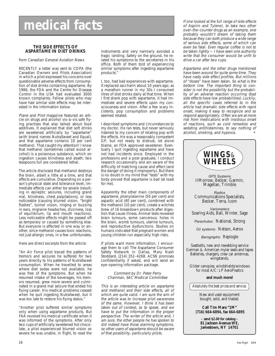# **medical facts**

# **THE SIDE EFFECTS OF ASPARTAME IN DIET DRINKS**

from Canadian General Aviation News

RECENTLY a letter was sent to COPA (the Canadian Owners and Pilots Association) in which a pilot expressed his concerns over questionable adverse effects from consumption of diet drinks containing aspartame. By 1986, the FDA and the Centre for Disease Control in the USA had evaluated 3000 known complaints. Fellow pilots who may have had similar side effects may be interested in the information below.

Plane and Pilot magazine featured an article on drugs and alcohol vis–à–vis safe flying practises that also talked about food additives. It explained that diet soft drinks are sweetened artificially by "aspartame" (with brand names NutraSweet and Equal), and that aspartame contains 10 per cent methanol. That caught my attention! I know that methanol (sometimes called wood alcohol) is a poisonous substance, which on ingestion causes blindness and death; two teaspoons full are considered lethal.

The article disclosed that methanol destroys the brain, albeit a little at a time, and that effects are cumulative. Depending on a person's physical state and tolerance level, immediate effects can either be severe (resulting in epileptic seizures, including grand mal, blindness, chest palpitations), or less noticeable (causing blurred vision, "bright flashes", tunnel vision, ringing or buzzing in ears, migraine headaches, dizziness, loss of equilibrium, lip and mouth reactions). Less noticeable effects might be passed off as temporary or caused by something else. But everyone is affected in one way or another, since methanol causes toxic reactions, not just allergic ones, in a few unfortunates.

Here are direct excerpts from the article:

"An Air Force pilot traced the patterns of tremors and seizures he suffered for two years directly to his patterns of NutraSweet consumption. When he travelled to areas where diet sodas were not available, he was free of the symptoms. But when he resumed intake of the beverages, his tremors resumed, grew more severe and culminated in a grand mal seizure that ended his flying career. His medical problems ceased when he quit ingesting NutraSweet, but it was too late to restore his flying status."

"Another pilot suffered similar symptoms only when using aspartame products. But FAA revoked his medical certificate when it was informed of the symptoms. After only two cups of artificially sweetened hot chocolate, a pilot experienced blurred vision so severe he was unable, in flight, to read the instruments and very narrowly avoided a tragic landing. Safely on the ground, he related his symptoms to the secretaries in his office. Both of them told of experiencing similar symptoms after ingesting aspartame products."

I, too, had bad experiences with aspartame. It replaced saccharin about 10 years ago; as a marathon runner in my 30s I consumed litres of diet drinks daily at that time. When I first drank pop with aspartame, it had immediate and severe effects upon my consciousness and vision. After a few scary incidents, pop consumption and problems seemed related.

I described symptoms and circumstances to my doctor. He ran tests, but never seriously listened to my concern of relating pop with the effects. He was a reasonably competent GP, but not ready to distrust, let alone blame, an FDA approved sweetener. Eventually I quit ingesting aspartame and have not had incidents since. Employed in the professions and a post–graduate, I conduct research occasionally and am aware of the difficulty of matching cause and effect (and the danger of doing it improperly). But there is no doubt in my mind that "tests" with my body proved that aspartame is bad (at least for me).

Apparently the other main components of aspartame, phenylalanine (50 per cent) and aspartic acid (40 per cent), combined with the methanol (10 per cent), create a witches brew of 16 breakdown products after digestion that cause illness. Animal tests revealed brain tumours, some cancerous; holes in the brain, womb tumours, uterine tumours, and reproductive dysfunctions. Studies on humans indicated that pregnant women and young children run especially high risks.

If pilots want more information, I encourage them to call The Aspartame Consumer Safety Network in Dallas, Mary Nash Stoddard, (214) 352–4268. ACSN promises confidentiality if asked, and will send an eye–opening information package.

# Comment by Dr. Peter Perry Chairman, SAC Medical Committee

This is an interesting article on aspartame and methanol and their side effects, all of which are quite valid. I am sure the aim of the article was to increase pilot awareness of the same. However, I think it has been taken out of context, so to speak, and we have to put the information in the proper perspective. The writer of the article and, I am sure, the other people he has spoken to did indeed have those alarming symptoms, so other users of aspartame should be aware of that possibility, particularly pilots.

If one looked at the full range of side effects of Aspirin and Tylenol, to take two other over–the–counter drugs as an example, one probably wouldn't dream of taking them because they can both produce a wide range of serious side effects, some of which can even be fatal. Even regular coffee is not to be taken lightly — I have seen one authority write that the consumer would be unfit to drive a car after two cups.

Aspartame and the other drugs mentioned have been around for quite some time. They have nasty side effect profiles. But millions of "doses" have been taken. So what is the bottom line. The important thing to consider is not the possibility but the probability of an adverse reaction occurring (bad side effects have low probabilities). Luckily, all the specific cases referred to in the article had dramatic side effects with rapid onset, making it easy to recognize and so respond appropriately. Often we are at more risk from medications with insidious onset of reactions, such as cold remedies and sedating antihistamines, to say nothing of alcohol, smoking, and hypoxia.

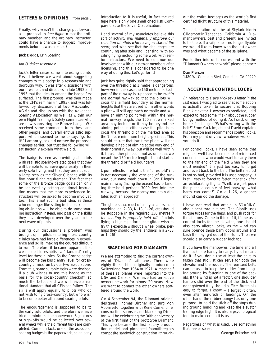# **LETTERS & OPINIONS** from page 5

Finally, why wasn't this change put forward as a proposal in free flight so that the ordinary member, and the ordinary instructor, could have a chance to suggest improvements before it was enacted?

### **Jack Dodds**, Erin Soaring

### Ian Oldaker responds:

Jack's letter raises some interesting points. First, I believe we went about suggesting changes to this badge in a responsible and thorough way. It was after discussions with our president and directors in late 1992 and 1993 that the idea to amend the badge first surfaced. The first proposal was then made at the CFI's seminar (in 1993), and was followed by discussion at two Association AGMs and discussions with the Advanced Soaring Association as well as within our own Flight Training & Safety committee who are now sponsoring the Bronze badge. We received some comments from these and other people, and overall enthusiastic support, which seemed to me to say, "go for it!" I am sorry Jack did not see the proposed changes earlier, but trust the following will satisfactorily explain what we did.

The badge is seen as providing all pilots with realistic soaring–related goals that they will be able to achieve quite easily in their early solo flying, and that they are not such a large step as the Silver C badge with its five hour flight requirement. The fact that some of the Bronze badge goals can only be achieved by getting additional instruction means that the more experienced instructors will be asked to become involved too. This is not such a bad idea, as those who no longer like sitting in the back teaching ab–initios will be able to do some soaring instruction instead, and pass on the skills they have developed over the years to the next wave of pilots.

During our discussions a problem was brought up — pilots entering cross–country clinics have had large differences in experience and skills, making the courses difficult to run. Therefore it became apparent that we needed to establish a "standard" entry level for these clinics. So the Bronze badge will become the basic entry level for cross– country clinics run by our two associations. From this, some suitable tasks were devised. If a club wishes to use this badge as the basis for the cross–country checkoff, so much the better; and we will have a national standard that all CFIs can follow. The skills will apply equally to pilots who do not wish to fly cross–country, but who wish to become better all–round soaring pilots.

The encouragement is supposed to be to the early solo pilots, and therefore we have tried to minimize the paperwork. Signatures or sign–offs would be collected over several weeks while the different tasks are completed. Come on Jack, one of the aspects of soaring badges is the paperwork, so an early I and several of my associates believe this sort of activity will materially improve our retention of pilots who have just started the sport, and who see that the challenges are continuing after solo and licensing, with exciting flying including some work with senior instructors. We need to continue our involvement with our newer members after licensing, and this is considered to be one way of doing this. Let's go for it!

Jack has quite rightly said that approaching over the threshold at 1 metre is dangerous, however in this case the 150 metre marked– part of the runway is supposed to be within the normal runway so that the pilots will cross the airfield boundary at the normal heights that they are used to. In other words a pilot will still approach normally and will have an aiming point well within the normal runway length; the 150 metre marked area may include or it may be beyond the aiming point. In either case the pilot is to cross the threshold of the marked area at the 1 metre minimum height specified. This should ensure that low time pilots will not develop a habit of aiming at the very end of their normal runway, but will be well within it. I trust other pilots did not assume that we meant the 150 metre length should start at the threshold or field boundary!

Upon reflection, what is the "threshold"? It is not necessarily the very end of the runway, but some mark down it. San Diego's main runway (facing the ocean) has its landing threshold perhaps 3000 feet into the runway, because the nearby mountain dictates such an approach.

The gliders that most of us fly as a first solo machine (eg. 2–33, K–13, 1–26, etc) should be stoppable in the required 150 metres if the landing is properly held off. If pilots flying a higher performance glider wish to try this exercise without a wheel brake, perhaps they should try the landings in a 2–33 or 1–26!

# **SEARCHING FOR DIAMANTS**

We are attempting to find the current owners of "Diamant" sailplanes. There were eighty–three ships originally produced in Switzerland from 1964 to 1971. Almost half of these sailplanes were imported into the USA and Canada. We have had an active owners network for almost 20 years. Now we want to contact the other owners scattered around the world.

On 4 September 94, the Diamant original designers Thomas Bircher and Jurg Von Voornveld, together with René Come, chief construction sponsor and Marketing Director, will be celebrating the 30th anniversary of the first flight of the prototype Diamant. This type became the first factory production model and pioneered foam/fibreglass composite sandwich construction (throughout the entire fuselage) as the world's first certified flight structure of this material.

The celebration will be at Skylark North Gliderport in Tehachapi, California. All Diamant owners, past and present, are invited to be there. If a sailplane is no longer flyable we would like to know who the last owner was and what became of the sailplane.

For further info or to correspond with the "Diamant Owners network" please contact:

### **Dan Pierson**

1480 W. Compton Blvd, Compton, CA 90220

# **ACCEPTABLE CONTROL LOCKS**

(In reference to Dave McAsey's letter in the last issue) I was glad to see that some action is actually taken to secure that flopping Blanik elevator. However as predicted, I did expect to read some "flak" about the rubber bungy method of doing it. As I said, on my home field, I got "What's wrong with the belt?" From Cu Nim, at least David explains his objection and recommends control locks. From my point of view, whatever works for you, do it.

For control locks, I have seen some that might as well have been made of reinforced concrete, but who would want to carry them to the far end of the field when they are most needed? It is just too easy to forget and revert back to the belt. The belt method is not so bad, provided it is used properly. It is still easy to forget to fasten that stick after an exhilarating flight: "Well, we just push the plane a couple of feet anyway, what harm can come?" On a 1–26, a gopher mound can do the damage.

I have not read that article in SOARING about bent torque tubes. The Blanik uses torque tubes for the flaps, and push rods for the ailerons. Come to think of it, if one uses control locks for the elevator, one should also carry aileron locks, as the wind can sure bounce those barn doors around and bash the daylight out of the stops. Then we should also carry a rudder lock too.

If you have the manpower, the time and all five locks are handy to carry, by all means do it. If you don't, use at least the belts to fasten that stick. It can serve for both the elevator and the rudder. The rear seat belts can be used to keep the rudder from banging around by fastening to one of the pedals. If the wind is not a factor, one shoulder harness slid over the end of the stick and not tightened fully should suffice. But this is easy to forget. I know — I forget it often, even after hundreds of landings. On the other hand, the rubber bungy has only one purpose: to hold the stick off the stops during ground handling and keep the elevator trailing edge high. It is also a psychological tool to make certain it is used.

Regardless of what is used, use something that makes sense.

**George Eckschmiedt**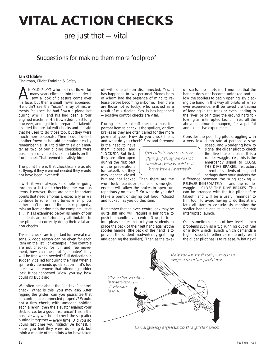# **VITAL ACTION CHECKS**

# are just that — vital

# Suggestions for making them more foolproof

# **Ian Oldaker**

Chairman, Flight Training & Safety

N OLD PILOT who had not flown for many years climbed into the glider. I saw a look of pleasure come over AN OLD PILOT who had not flown for many years climbed into the glider. I<br>saw a look of pleasure come over<br>his face, but then a small frown appeared. He didn't see the "usual" array of instruments. You see, he had flown a plane last during WW II, and his had been a four engined machine. His frown didn't last long however, and I got in to prepare for takeoff. I started the pre–takeoff checks and he said that he used to do those too, but they were much more elaborate. Then I could detect another frown as he said he couldn't easily remember his list. I told him this didn't matter as two of our gliding checklists were posted as convenient stick–on labels on the front panel. That seemed to satisfy him.

The point here is that checklists are as old as flying: if they were not needed they would not have been invented!

I wish it were always as simple as going through a list and checking the various items. However, there are some important points that need emphasis, especially as we continue to suffer misfortunes when pilots either don't do one of the checks properly, miss an item or don't do the complete list at all. This is examined below as many of our accidents are unfortunately attributable to the pilots not correctly doing their vital action checks.

Takeoff checks are important for several reasons. A good reason can be given for each item on the list. For example, if the controls are not checked for full and free movement, how can the pilot "guarantee" they will be free when needed? Full deflection is suddenly called for during the flight when a spin entry demands quick action ... it's too late now to remove that offending rudder lock. It has happened. Wow, you say, how could it? But it did.

We often hear about the "positive" control check. What is this, you may ask? After rigging the glider, can you guarantee that all controls are connected properly? Would not a firm check, with someone holding each aileron, then the elevator against your stick force, be a good insurance? This is the positive way we should check the ship after putting it together — every time. Did you do yours last time you rigged? Be honest, I know you feel they were done right, but think a minute of the pilots who have taken off with one aileron disconnected. Yes, it has happened to two personal friends both of whom had the presence of mind to release before becoming airborne. Then there are those not so lucky, who crashed as a result of mis–rigging. Yes, is has happened — positive control checks are vital.

During the pre–takeoff checks a most important item to check is the spoilers, or dive brakes as they are often called for the more powerful types. How do you check them, and what do you check? First and foremost

is the need to have them closed and "LOCKED". But first, they are often open during the first part of the preparations for takeoff, or they may appear closed

but are not locked. Then there are the worn lock detents or catches of some gliders that will allow the brakes to open surreptitiously on takeoff. So what do you do? Make a point of saying out loud, "closed and locked" as you do this item.

Remember that an over–centre lock may be quite stiff and will require a fair force to push the handle over centre. Now, instructors please note: instruct your students to place the back of their left hand against the spoiler handle, (the back of the hand is to prevent the student inadvertently grabbing and opening the spoilers). Then as the take-

off starts, the pilots must monitor that the handle does not become unlocked and allow the spoilers to begin opening. By placing the hand in this way all pilots, of whatever experience, will be saved the trauma of landing in the trees or even landing in the river, or of hitting the ground hard following an interrupted launch. Yes, all the above continue to happen, for a painful and expensive experience.

Consider the poor tug pilot struggling with a very low climb rate at perhaps a slow

speed, and wondering how to signal the glider pilot to check the dive brakes closed. It is a rudder waggle. Yes, this is the emergency signal to CLOSE THE DIVE BRAKES. Instructors — remind students of this, and perhaps show your students the

difference between the wing rocking — RELEASE IMMEDIATELY — and the rudder waggle — CLOSE THE DIVE BRAKES. This can be arranged with the tug pilot before takeoff, and will be a useful reminder to him too! To avoid having to do this at all, let's all start to consciously monitor the spoiler handle and to plan ahead for that interrupted launch.

One sometimes hears of low level launch problems such as a tug running out of fuel or a slow winch launch which demands a higher speed. In either case the only resort the glider pilot has is to release. What next?



*Checklists are as old as flying: if they were not needed they would not have been invented!*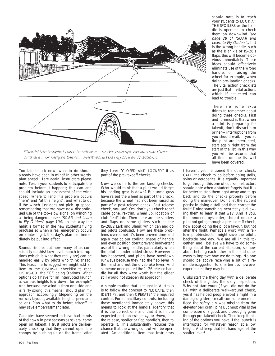

Too late to ask now, what to do should already have been in mind! In other words, plan ahead. Here again, instructors please note. Teach your students to anticipate the problem before it happens; this can and should include an assessment of the wind speed, where to land if a problem occurs "here" and "at this height", and what to do if the winch just does not pick up speed, remembering that we have now discontinued use of the too–slow signal on winching as being dangerous (see "SOAR and Learn to Fly Gliders" page 104). In this way the habit is formed in the new student's flying practises so when a real emergency occurs on a later flight, that day's plan can immediately be put into effect.

Sounds simple, but how many of us consciously do this? Low level launch interruptions (which is what they really are) can be handled easily by pilots who think ahead. This leads me to suggest we might add an item to the CISTRS–C checklist to read CISTRS–CO, the "O" being Options. What options do I have for an interrupted launch at various heights low down, for example? And because the wind is from one side and is fairly strong, this means I should plan my approach accordingly (depending on the runway layouts, available height, speed and so on). Plan what to do before takeoff, it may save embarrassment later.

Canopies have seemed to have had minds of their own in past seasons as several came open on takeoff. I trust pilots are deliberately checking that they cannot open the canopy by pushing up on the frame, after

they have "CLOSED AND LOCKED" it as part of the pre–takeoff checks.

Now we come to the pre–landing checks. Who would think that a pilot would forget his landing gear is down? But some guys have raised the wheel as part of the check, because the wheel had not been raised as part of a post–release check. Post release check, you say? Yes, don't you check rope/ cable gone, re–trim, wheel up, location of club field? I do. Then there are the spoilers and flaps on some gliders such as the IS–28B2 Lark and Blanik which can and do get pilots confused. How are these problems overcome? It's been proven time and again that colour coding, shape of handle and even position don't prevent inadvertent use of the wrong handle, particularly when the pilot is under added stress. However it has happened, and pilots have overflown runways because they had the flap lever in the hand and not the divebrake lever. And someone once pulled the 1–26 release handle for all they were worth but the glider still would not steepen its approach!

A simple routine that is taught in Australia is to follow the concept to "LOCATE, then IDENTIFY, and then OPERATE" the required control. For all ancillary controls, including those mentioned immediately above, this means to look at the handle, identify that it is the correct one and that it is in the expected position (wheel up or down; is it the release, spoiler or flap handle?), then to operate it. This substantially reduces the chance that the wrong control will be operated. An additional item that instructors should note is to teach your students to LOOK AT THE SPOILERS as the handle is operated to check them on downwind (see page 28 of "SOAR and Learn to Fly Gliders"). If it is the wrong handle, such as the Blanik's or IS–28's flaps, this will become obvious immediately! These ideas should effectively eliminate use of the wrong handle, or raising the wheel for example, when doing pre–landing checks. The vital action checklists are just that — vital actions which if neglected can lead to trouble.

There are some extra things to remember about doing these checks. First and foremost is that when a pilot is preparing for takeoff, don't distract him or her — interruptions from you should wait. If you as the pilot are interrupted, start again right from the start of the list. In this way you will be assured that all items on the list will have been covered.

I haven't yet mentioned the other check, CALL, the check to do before doing stalls, spins or aerobatics. It is equally important to go through this one of course; instructors should note when a student forgets that it is far better to stop them right away and to go back and do the checks properly before doing the maneuver. Don't let the student persist in doing a stall and then correct the fault! Doing something incorrectly is allowing them to learn it that way. And if you, the innocent bystander, should notice a pilot not going through a pre–takeoff check, how about doing the pilot a favour, but not after the flight. Perhaps a word with a fellow pilot/instructor might save the pilot's backside one day. We are all in this together, and I believe we have to do something about the current situation, so how about helping each other in this and other ways to improve how we do things. No one should be above receiving a bit of a reminder/suggestion to smarten up, however experienced they may be!

Clubs start the flying day with a deliberate check of the glider, the daily inspection. Why not start yours (if you did not do the DI) with a deliberate walk–around check, yes it has helped people avoid a flight in a damaged glider; I recall someone once noticed the safety pin was missing from the elevator bell crank pin! But most vital is the completion of a good, and thoroughly gone through pre–takeoff check. Then keep thinking of the options you have if the launch is interrupted for whatever reason at a low height. And keep that left hand against the spoiler lever!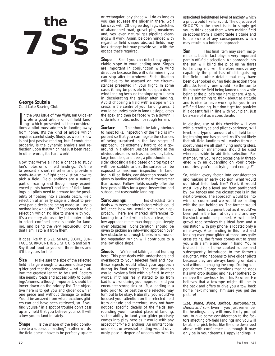# **the 7 S's**

# **George Szukala** Cold Lake Soaring Club

In the 6/93 issue of *free flight*, lan Oldaker<br>wrote a good article on off-field land-<br>ings which presented all the considera-<br>tions a pilot must address in landing away n the 6/93 issue of free flight, Ian Oldaker wrote a good article on off–field landings which presented all the considerafrom home. It's the kind of article which requires careful study. Study, as we all know is not just passive reading, but if conducted properly, is the dynamic analysis and reflection upon that which has just been read. In other words, it's hard work!

Now that we've all had a chance to study Ian's notes on off–field landings, it's time to present a short refresher and provide a ready–to–use in–flight checklist on how to pick a field. Field landings are a natural part of soaring and though many experienced pilots haven't had lots of field landings, all pilots need to prepare for the possibility of floating into a canola patch. Field selection at an early stage is critical to prevent panic decisions being made so I use a method known as the "7S" approach to field selection which I'd like to share with you. It's a memory aid used by helicopter pilots to select confined areas suitable for landing, and being the very resourceful chap that I am, I stole it from them.

It goes like this: SIZE, SHAPE, SLOPE, SUR-FACE, SURROUNDINGS, SHOOTS and SUN. Say it out loud to yourself three times and it'll be yours for life.

**Size** Make sure the size of the selected field is large enough to accommodate your glider and that the prevailing wind will allow the greatest length to be used. Factors like nearby roads and accessibility to buildings/phones, although important, should be lower down on the priority list. The objective here is to get you and glider down in one piece and without damage to either. You'd be amazed from what locations gliders can and have been retrieved, so if you find yourself in a spot of trouble don't pass up any field that you believe your skill will allow you to land in safely.

**Shape** Is the shape of the field conducive to a successful landing? In other words, the field doesn't have to be perfectly square or rectangular, any shape will do as long as you can squeeze the glider in there. Golf fairways with 20 degree dog legs, stretches of abandoned road, gravel pits, meadows and, yes, even natural gas pipeline clearings will work. Again, be open minded with regard to field shape; abstract fields may look strange but may provide you with the escape that's required.

**Slope** See if you can detect any appreciable slope to your landing area. Slopes are important in conjunction with wind direction because this will determine if you can stop after touchdown. Each situation will have to be assessed on the circumstances presented in your flight. In some cases it may be possible to accept a downwind landing because the slope up will help in decelerating the glider after landing. Avoid choosing a field with a slope which crests in the centre of your landing area; it would be undesirable to land upslope, cross the apex and then be faced with a downhill slide into an obstruction or rough terrain.

**Surface** This should be fairly obvious to most folks. Inspection of the field is important so that you can negate the chances of being surprised in the last stages of approach. It's extremely hard to do a go– around in a glider! Besides looking at the obvious obstacles such as tractors, hay bales, large boulders, and trees, a pilot should consider choosing a field based on crop type or with low stubble so that the surface can be exposed to maximum inspection. In landing in tilled fields, consideration should be given to landing parallel to the furrows rather than across. Fallow fields usually offer the best possibilities for a good inspection and subsequent reasonable landings.

**Surroundings** This checklist item deals with trees or other factors which could influence how you would set up your approach. There are marked differences to landing in a field which has a clear, shallow approach rather than dropping in steeply over obstacles. Consideration should be given to picking an into–wind approach over low obstacles or through breaks in surrounding vegetation which will contribute to a shallow glide slope.

**Shoots** We're not talking about hunting here. This part deals with undershoots and overshoots to your selected field and how these aspects would affect your approach during its final stages. The best situation would involve a field within a field. In other words, if things really started to go from bad to worse during your approach and you encounter strong sink or lift, a landing in a field prior to, or past the one selected may turn out to be okay. Naturally, you would've focused your attention on the selected field from altitude and therefore, may not have noticed specific details of the fields surrounding your intended place of landing, so the ability to land your glider precisely comes into play here as it would with any aspect of off–field landings. An unintentional undershot or overshot landing would obviously pose a degree of uncertainty with its

associated heightened level of anxiety which a pilot would like to avoid. The objective of SHOOTS in the checklist is to simply get you to think about them when making field selections from a comfortable altitude and to be aware of any consequences which may result in a botched approach.

**Sun** This final item may seem insignificant, but in fact plays a very important part in off–field selection. An approach into the sun will blind the pilot as he flares for landing and will therefore remove any capability the pilot has of distinguishing the field's subtle details that may have been overlooked during field selection from altitude. Ideally, one would like the sun to illuminate the field being landed upon while being at the pilot's rear hemisphere. Again, this is something to think about at altitude and is nice to have working for you in an off–field landing, but don't get too panicky if it doesn't fall in line with your plan, just be aware of it as a consideration.

In closing, use of this checklist will vary with aircraft type and pilot experience, skill level, and type or amount of off–field landing training one has gained. As it's not likely that off–field landings will vanish from our sport unless we all start flying motorgliders, checklists or mnemonics should be used where possible to aid field selection. Remember, "If you're not occasionally threatened with an outlanding on your cross– countries, you're not trying hard enough!"

So, taking every factor into consideration and making an early decision, what would our ideal field look like? Well, it would most likely be a level sod farm partitioned by low fences and the closest tree is in the next province. The approach would be into wind of course and we would be landing with the sun behind us. The farmer would have no field equipment out as it would've been put in the barn at day's end and any livestock would be penned. A well–oiled gravel road services this ideal farm and a gas station with pay phone is located only a mile away. After landing in this field and looking over your glider at those unsightly grass stains, the farmer comes out to greet you with a smile and beer in hand. You're invited in for a home–cooked supper and subsequently introduced to the farmer's daughter, who happens to love glider pilots because they are always landing on dad's sod without damaging the crop. During supper, farmer George mentions that he does his own crop dusting and never bothered to remove the towhook from his Pawnee. He believes that a towrope might still be in the back and offers to give you a tow back home next morning. I'm sure you get the picture!

Size, shape, slope, surface, surroundings, shoots and sun. Even if you just remember the headings, they will most likely prompt you to give some consideration to the factors affecting off–field landings and you will be able to pick fields like the one described above with confidence — although it may only be in your dreams. Happy landings. •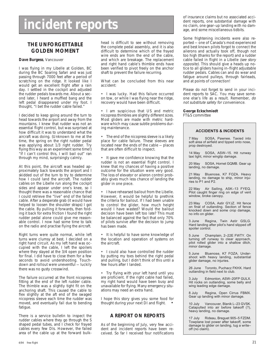# **incident reports**

# **THE UNFORGETTABLE GOLDEN MOMENT**

# **Dave Burgess**, Vancouver

I was flying in my Libelle at Golden, BC during the BC Soaring Safari and was just passing through 7000 feet after a period of scratching on the ridge. It looked like I would get an excellent flight after a rain day. I settled in the cockpit and adjusted the rudder pedals towards me. About a second later, I heard a muffled bang and the left pedal disappeared under my foot. I thought, "I bet the rudder cable failed."

I decided to keep going around the turn to head towards the airport and away from the mountains. I knew that rudder was not an essential flight control, but was surprised at how difficult it was to understand what the aircraft was doing. (Unknown to me at the time, the spring on the right rudder pedal was applying about 1/3 right rudder. Try flying this way as an experiment some time!) "If I can't control this, I will bail out" ran through my mind, surprisingly calmly.

At this point, the aircraft was headed approximately back towards the airport and I skidded out of the turn to try to determine how I could land the aircraft. The rudder cables on the Libelle run along the cockpit sides and appear under one's knee, so I thought there was a reasonable chance that I could retrieve the "live" end of the failed cable. After a desperate grab (it would have helped to loosen the shoulder straps) I got the cable. By pulling it forwards, then folding it back for extra friction I found the right rudder pedal alone could give me reasonable control. I now had some time to talk on the radio and practise flying the aircraft.

Right turns were quite normal, while left turns were clumsy at best. I decided on a right hand circuit. As my left hand was occupied with the cable, I left the spoilers where they stayed at the 3/4 open position for final. I did have to close them for a few seconds to avoid undershooting. Touchdown and rollout were uneventful — luckily there was no gusty crosswind.

The failure occurred at the front nicopress fitting at the end of the left rudder cable. The thimble was a slightly tight fit on the anchoring shaft. This caused the cable to flex slightly at the aft end of the swaged nicopress sleeve each time the rudder was moved, and eventually fail due to bending fatique.

There is a service bulletin to inspect the rudder cables where they go through the S shaped pedal tubes, and I check for frayed cables every few DIs. However, the failed area of the cable up at the forward bulkhead is difficult to see without removing the complete pedal assembly, and it is also difficult to determine which of the frayed wire ends are from the end of the cable, and which are breakage. The replacement and right hand cable's thimble ends have been verified to pivot freely on the anchor shaft to prevent the failure recurring.

What can be concluded from this near accident:

• I was lucky. Had this failure occurred on tow, or while I was flying near the ridge, recovery would have been difficult.

• I am suspicious that US and metric nicopress thimbles are slightly different sizes. Most gliders are made with metric hardware which may cause subtle problems during maintenance.

• The end of the nicopress sleeve is a likely place for cable failure. These sleeves are located near the ends of the cable — places that are often difficult to inspect.

• It gave me confidence knowing that the rudder is not an essential flight control. I knew that my chances of having a positive outcome for the situation were very good. The loss of elevator or aileron control probably gives much less chance of landing the glider in one piece.

• I have rehearsed bailout from the Libelle. However, it would be helpful to prethink the criteria for bailout. If I had been unable to control the glider, how much height would I have wasted? Would the bailout decision have been left too late? This must be balanced against the fact that only 70% of pilots survive after the decision to jump has been made.

• It is helpful to have some knowledge of the location and operation of systems on the aircraft.

• I could also have controlled the rudder by putting my toes behind the right pedal and pulling, but I didn't think of this until a few hours after I landed.

• Try flying with your left hand until you are proficient. If the right cable had failed, my right hand would have been busy and unavailable for flying. Many emergency situations may need an extra hand.

I hope this story gives you some food for thought during your next DI and flight. •

# **A REPORT ON REPORTS**

As of the beginning of July, very few accident and incident reports have been received. So far I received four notifications of insurance claims but no associated accident reports, one substantial damage with no claim, one gear–up landing with no damage, and some miscellaneous tidbits.

Some frightening incidents were also reported — one of Canada's most experienced and best known pilots forgot to connect the ailerons and actually took off, though not too high (thanks for the report) and a rudder cable failed in flight in a Libelle (see story opposite). This should give a heads up notice to all gliders having in–flight adjustable rudder pedals. Cables can and do wear and fatigue around pulleys, through fairleads, and at points of connection!

Please do not forget to send in your incident reports to SAC. You may save someone else's life as a result. Remember, do not substitute safety for convenience.

### **George Eckschmiedt** FT&S committee

# **ACCIDENTS & INCIDENTS**

7 May SOSA, Pawnee. Taxied into soft area of airfield and tipped onto nose, prop destroyed.

14 May SOSA, ASW–15. Hit runway taxi light, minor wingtip damage.

20 May SOSA, Hornet GQMB. Gear up landing, no damage.

21 May Bluenose, K7 FOZA. Heavy landing, no damage to ship, minor injuries to P1 and P2.

22 May Air Sailing, ASK–13 FYEQ. Pilot caught finger ring on edge of vent window, broke canopy.

23 May COSA, Astir GYJZ. Hit fence on final of outlanding. Section of fence knocked down and some crop damage, no info on glider.

3 June Regina, Twin Astir GSLG. Hard landing after pilot's hand slipped off spoiler control.

5 June Champlain, 2–22E FWTY. On turning off runway to clear approach, pilot rolled glider into a shallow ditch, minor damage.

5 June Bluenose, K7 FOZA. Undershoot with heavy landing, substantial glider damage, no injuries.

26 June Toronto, Puchacz FKHX. Hard outlanding in field next to club.

3 July Edmonton, ASW–20FP GULX. Hit rocks on outlanding, some belly and wing leading edge damage.

8 July Regina, Open Cirrus FBMX. Gear up landing with minor damage.

10 July Vancouver, Blanik L–23 GVSK. Catapulted into air before takeoff (?), heavy landing, no damage.

17 July Rideau, Breguet 905–5 FZDM. Towplane lost power after takeoff, some damage to glider on landing, tug a write– off (no claim).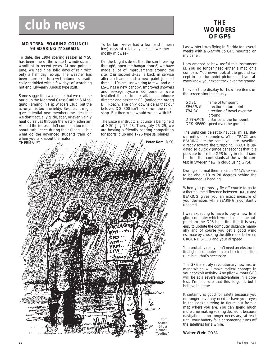# **␣ club news**

# **MONTREAL SOARING COUNCIL 94 SOARING ?? SEASON**

To date, the 1994 soaring season at MSC has been one of the wettest, windiest, and woolliest in recent years. At one point in June, we had nine solid days of rain with only a half day let–up. The weather has been more akin to a wet autumn, sporadically sprinkled with a few days of scorching hot end July/early August type stuff.

Some suggestion was made that we rename our club the Montreal Grass Cutting & Mosquito Farming in Hip Waders Club, but the acronym is too unwieldy. Besides, it might give potential new members the idea that we don't actually glide, soar, or even vainly haul ourselves through the water–laden air. At least the intros didn't complain too much about turbulence during their flights ... but what do the advanced students train on when you talk about thermals?

To be fair, we've had a few (and I mean few) days of relatively decent weather mostly midweek.

On the bright side (is that the sun breaking through!, open the hangar doors!) we have made a lot of improvements around the site. Our second  $2-33$  is back in service after a cleanup and a new paint job; all three L–19s are just waiting to tow, and our LS–1 has a new canopy. Improved showers and sewage system components were installed thanks to our affable clubhouse director and assistant CFI (notice the order) Bill Roach. The only downside is that our beloved DG–300 isn't back from the repair shop. But then what would we do with it?

The Eastern instructors' course is being held at MSC July 16–23. Then, July 25–29, we are hosting a friendly soaring competition for sports, club and 1–26 type sailplanes.



# **THE WONDERS OF GPS**

Last winter I was flying in Florida for several weeks with a Garmin 55 GPS mounted on my panel.

I am amazed at how useful this instrument is. You no longer need either a map or a compass. You never look at the ground except to take turnpoint pictures and you always know your exact track over the ground.

I have set the display to show five items on the screen simultaneously —

| GOTO           | name of turnpoint                  |
|----------------|------------------------------------|
| <b>BEARING</b> | direction to turnpoint             |
| <b>TRACK</b>   | direction of travel over the       |
|                | ground                             |
|                | DISTANCE distance to the turnpoint |
|                | GRD SPEED speed over the ground    |

The units can be set to nautical miles, statute miles or kilometres. When TRACK and BEARING are the same you are travelling directly toward the turnpoint. TRACK is updated so quickly (once per second) that it is possible to use the GPS to fly in cloud (and I'm told that contestants at the world contest in Sweden flew in cloud using GPS).

During a normal thermal circle TRACK seems to be about 10 to 20 degrees behind the instantaneous heading.

When you purposely fly off course to go to a thermal the difference between TRACK and BEARING gives you an exact measure of your deviation, while BEARING is constantly updated.

I was expecting to have to buy a new final glide computer which would accept the output from the GPS but I find that it is very easy to update the computer distance manually and of course you get a good wind estimate by checking the difference between GROUND SPEED and your airspeed.

You probably really don't need an electronic final glide computer — a plastic circular slide rule is all that's necessary.

The GPS is a truly revolutionary new instrument which will make radical changes in your cockpit activity. Any pilot without GPS will be at a severe disadvantage in a contest. I'm not sure that this is good, but I believe it is true.

It certainly is good for safety because you no longer have any need to have your eyes in the cockpit trying to figure out from a map where you are. You can spend much more time making soaring decisions because navigation is no longer necessary, at least until your battery fails or someone turns off the satellites for a while.

**Walter Weir**, COSA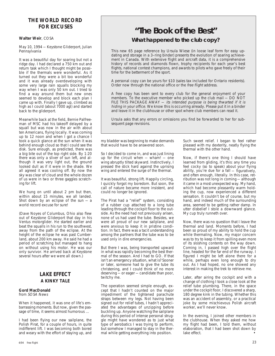# **THE WORLD RECORD FOR EXCUSES**

# **Walter Weir**, COSA

May 10, 1994 — Keystone Gliderport, Julian Pennsylvania

It was a beautiful day for soaring but not a ridge day. I had declared a 750 km out and return task which I thought might be possible if the thermals were wonderful. As it turned out they were a bit too wonderful and it was already overdeveloping with some very large rain squalls blocking my way when I was only 50 km out. I tried to find a way around them but new ones seemed to develop and block each plan I came up with. Finally I gave up, climbed as high as I could (about 7000 agl) and started back to the gliderport.

Meanwhile back at the field, Bernie Palfreeman of MSC had his takeoff delayed by a squall but was now in the air with about ten Americans, flying locally. It was coming up to 12 noon and when I got a chance I took a quick glance at the sun when it was behind enough cloud so that I could see the disk. Sure enough, as predicted, there was a big bite out of the top right side. By 1:20 there was only a sliver of sun left, and although it was very light out, the ground looked dull as if it were in the shade. We all agreed it was cooling off. By now the sky was clear of cloud and the whole dozen of us were in two or three gaggles scratching for lift.

We hung on until about 2 pm but then, within about 15 minutes, we all landed. Shot down by an eclipse of the sun  $-$  a world record excuse for sure!

(Dave Noyes of Columbus, Ohio also flew out of Keystone Gliderport that day in his Ventus motorglider. He started earlier and beat the squalls in his run to the southwest, away from the path of the eclipse. At the height of the eclipse he was past Cumberland, about 200 km away. He said he had a period of scratching but managed to hang on without using his motor. He was our only survivor. He arrived back at Keystone several hours after we were all down.)

# **LAKE EFFECT A KINKY TALE**

#### **Gord MacDonald** from SOSA News

When it happened, it was one of life's embarrassing moments. But now, given the passage of time, it seems almost humorous ...

I had been flying our new sailplane, the Polish Pirat, for a couple of hours, in quite indifferent lift. I was becoming both bored and weary with the effort of staying up, and

# **"The Book of the Best" What happened to the club copy?**

This new 65 page reference by Ursula Wiese (in loose leaf form for easy updating and storage in a 3–ring binder) presents the evolution of soaring achievement in Canada. With extensive flight and aircraft data, it is a comprehensive history of records and diamonds flown, trophy recipients for each year's best flights, national contest champions, and awards to pilots who gave freely of their time for the betterment of the sport.

A personal copy can be yours for \$10 (sales tax included for Ontario residents). Order now through the national office or the free flight address.

A free copy has been sent to every club for the general enjoyment of your members. To the executive member who picked up the club mail — DO NOT FILE THIS PACKAGE AWAY - its intended purpose is being thwarted if it is hiding in your office. We know this is occurring already. Please put it in a binder and leave it in the clubhouse or other spot where club members can read it.

Ursula asks that any errors or omissions you find be forwarded to her for subsequent page revisions.

my bladder was beginning to make demands that would have to be answered soon.

So I decided to come in, and was just lining up for the circuit when — wham! — one wing abruptly tilted skyward. Instinctively, I pressed the stick hard against the uprising wing and entered the surge of the thermal.

It was beautiful, strong lift. Happily circling, I quickly forgot my boredom. But soon, the call of nature became more insistent, and could no longer be ignored.

The Pirat had a "relief" system, consisting of a rubber cup attached to a long tube leading through the cockpit floor to the outside. As the need had not previously arisen, none of us had used the tube. Besides, we were all proud of our new sailplane, and were anxious to keep it in pristine condition. In fact, there was a tacit understanding among the partners that the tube was to be used only in dire emergencies.

But there I was, being transported upward in what was rapidly becoming the best thermal of the season. And I had to GO. If that isn't an emergency situation, what is? Sooner or later, someone had to give the tube its christening, and I could think of no more deserving — or eager — candidate than poor, twitchy me.

The operation seemed simple enough, except that I hadn't counted on the major impediment of the tightened parachute straps between my legs. Not having been signed out for relief tubes, I hadn't appreciated the advantages of unzipping before buckling up. Anyone watching the sailplane during this period of intense personal struggle might have wondered as to just what type of aerobatics I was trying to perform, but somehow I managed to stay in the thermal while getting everything into position.

Such sweet relief. I began to feel rather pleased with my dexterity, neatly flying the thermal with the other hand.

Now, if there's one thing I should have learned from gliding, it's this: any time you feel cocky (so to speak) about your flying ability, you're due for a fall — figuratively, and often enough, literally. In this case, retribution was not long in coming — although it came in a most unexpected way. My hand, which had become pleasantly warm holding the cup, now experienced a different sensation. It couldn't be of course, but my hand, and indeed much of the surrounding area, seemed to be getting rather damp. In utter disbelief I stole a downward glance. My cup truly runneth over.

Now, there was no question that I leave the thermal and land. Moments before, I had been so proud of my ability to hold the cup while thermaling. Now, my major concern was to try to keep it from spilling even more of its sloshing contents on the way down. Coming in, I passed high over the flight line, headed for the far end of the runway. I figured I might be left alone there for a while, perhaps even long enough to dry out. As I had hoped, no one showed any interest in making the trek to retrieve me.

Later, after airing the cockpit and with a change of clothing I took a close look at the relief tube plumbing. There, in the space under the cockpit floor, I discovered a sharp, 180 degree kink in the tubing. Whether this was an accident of assembly, or a practical joke by some mischievous Polish aircraft worker, we'll never know.

In the evening, I joined other members in the clubhouse. When they asked me how my flight had been, I told them, without elaboration, that I had been shot down by lake effect.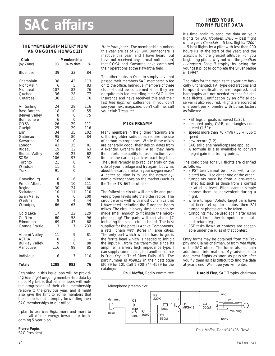# **THE "MEMBERSHIP METER" NOW AN ONGOING HOWGOZIT**

| Club<br>(by Zone)                                                                                                                                                                             | 193                                                                                         | Membership<br>'94 to date                                                                                         | %                                                                                                      |
|-----------------------------------------------------------------------------------------------------------------------------------------------------------------------------------------------|---------------------------------------------------------------------------------------------|-------------------------------------------------------------------------------------------------------------------|--------------------------------------------------------------------------------------------------------|
| Bluenose                                                                                                                                                                                      | 39                                                                                          | 33                                                                                                                | 84                                                                                                     |
| Champlain<br>Mont Valin<br>Montreal<br>Quebec<br>Outardes                                                                                                                                     | 38<br>6<br>107<br>36<br>30                                                                  | 43<br>5<br>82<br>28<br>23                                                                                         | 113<br>83<br>76<br>77<br>76                                                                            |
| Air Sailing<br>Base Borden<br>Beaver Valley<br><b>Bonnechere</b><br>COSA<br>Guelph<br>Erin<br>Gatineau<br>Kawartha<br>London<br>Rideau<br>Rideau Valley<br>SOSA<br>Toronto<br>Windsor<br>York | 24<br>18<br>8<br>6<br>26<br>25<br>34<br>95<br>10<br>43<br>19<br>40<br>106<br>21<br>11<br>91 | 28<br>10<br>6<br>$\overline{O}$<br>29<br>29<br>35<br>80<br>$\Omega$<br>35<br>12<br>25<br>97<br>$\Omega$<br>0<br>0 | 116<br>55<br>75<br>$\overline{a}$<br>111<br>116<br>102<br>84<br>$\overline{a}$<br>81<br>63<br>62<br>91 |
| Gravelbourg<br><b>Prince Albert</b><br>Regina<br>Saskatoon<br>Swan Valley<br>Westman<br>Winnipeg                                                                                              | 6<br>9<br>30<br>10<br>6<br>9<br>66                                                          | 6<br>10<br>24<br>11<br>6<br>4<br>63                                                                               | 100<br>111<br>80<br>110<br>100<br>44<br>95                                                             |
| Cold Lake<br>Cu Nim<br>Edmonton<br>Grande Prairie                                                                                                                                             | 17<br>60<br>69<br>3                                                                         | 22<br>58<br>47<br>7                                                                                               | 129<br>96<br>68<br>233                                                                                 |
| Alberni Valley<br>ASTRA<br><b>Bulkley Valley</b><br>Vancouver                                                                                                                                 | 11<br>$\Omega$<br>9<br>116                                                                  | 9<br>$\overline{2}$<br>8<br>99                                                                                    | 81<br>88<br>85                                                                                         |
| Individual                                                                                                                                                                                    | 6                                                                                           | 7                                                                                                                 | 116                                                                                                    |
| <b>Totals</b>                                                                                                                                                                                 | 1288                                                                                        | 983                                                                                                               | 76                                                                                                     |

Beginning in this issue Joan will be providing free flight ongoing membership data by club. My bet is that all members will note the progression of their club membership relative to the previous year, and it might also give the hint to some members that their club is not promptly forwarding their SAC memberships to our office.

I plan to use free flight more and more to focus all of our energy toward our forthcoming 5 year plan.

# **Pierre Pepin**,

SAC President

Note from Joan: The membership numbers this year are as of 21 July. Bonnechere is inactive this year, and I have heard (but have not received any formal notification) that COSA and Kawartha have combined their operations at the Kawartha field.

The other clubs in Ontario simply have not passed their members SAC membership fee on to the office. Individual members of these clubs should be concerned since they are on quite thin ice regarding their SAC glider insurance and have received this and their last free flight on sufferance. If you don't see your next magazine, don't call me, call your club Treasurer.

# **MIKE PREAMP**

Many members in the gliding fraternity are still using older radios that require the use of carbon microphones. While these mikes are generally good, their design dates from Alexander Graham Bell! Also, they have the unfortunate ability to lose function over time as the carbon particles pack together. The usual remedy is to rap it sharply on the side of your fuselage and try again, but what about the carbon mike in your oxygen mask? A better solution is to use the newer dynamic microphones on the market (such as the Telex TR–66T or others).

The following circuit will amplify and provide proper levels into the older radios. The circuit works well with most dynamics that I have tried including the European boom mikes. The circuit is very simple and can be made small enough to fit inside the microphone plug! The parts will cost about \$7 including the small circuit board. The best supplier for the parts is Active Components, a retail chain with stores in large cities. The only part which will be hard to get is the ferrite bead which is needed to inhibit the input RF from the transmitter since its amplifier is a very high impedance type. I can supply some beads, but another source is Digi–Key in Thief River Falls, MN. The part number is #p9822 in their catalogue (\$0.89 for 10). Call 1-800-344-4539 for the catalogue.

# **I NEED YOUR TROPHY FLIGHT DATA**

It's time again to send me data on your flights for SAC trophies; BAIC - best flight of the year; Canadair - 5 best flights; "200" — 5 best flights by a pilot with less than 200 hours P1 at the start of the year; and the Stachow for the greatest altitude. For you beginning pilots, why not win the Jonathan Livingston Seagull trophy by being the youngest pilot to complete the Silver badge in 1994?

The rules for the trophies this year are basically unchanged; FAI type declarations and turnpoint verifications are required, but barographs are not needed except for altitude flights. Certification by an official observer is also required. Flights are scored at one point per kilometre with bonus factors as follows:

- PST legs or goals achieved (1.25),
- declared poly, O&R, or triangles completed (1.50);
- speeds more than 70 km/h (.58  $+$  .006 x speed);
- new record (1.2)
- SAC sailplane handicaps are applied.
- A formula is also available to convert height gain into trophy points.

The conditions for PST flights are clarified as follows:

- a PST task cannot be mixed with a declared task. Use either one or the other.
- turnpoints must be from a pre–established list such as those from a contest or at club level. Pilots cannot simply choose them as convenient during a flight.
- where turnpoint/photo target pairs have not been set up for photos, then FAI turnpoint photos are to be taken.
- turnpoints may be used again after using at least two other turnpoints (no out– and–return legs).
- PST tasks flown at contests are acceptable under the rules of that contest.

Entry forms may be obtained from the Trophy and Claims chairman, or from free flight, or the SAC office. The forms also contain additional information. My advice is to document flights as soon as possible after you fly them as it is difficult to find the data at year's end. We hope you will enter.

**Harold Eley**, SAC Trophy chairman

**Paul Moffat**, Radio committee

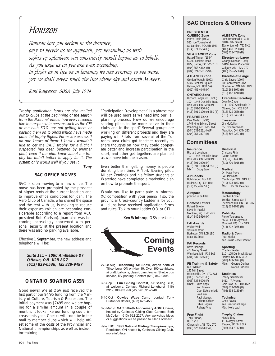# *Horizon*

*Horizon how you beckon in the distance, only to recede as we approach, yet rewarding us with sights of splendour you constantly unroll before us to behold. As you urge us on you are ever expanding. In flight as in life or in learning we are striving to see more, yet we shall never touch the line where sky and earth do meet.*

*Karl Raufeisen SOSA July 1994*

Trophy application forms are also mailed out to clubs at the beginning of the season from the National office, however, it seems like the responsible persons such as the CFI or the club SOO are not getting them or passing them on to pilots which have made potential trophy flights. Forms are useless if no one knows of them! I know I wouldn't like to get the BAIC trophy for a flight I suspected had been bettered by another pilot, even if the pilot knew about the trophy but didn't bother to apply for it. The system only works well if you use it.

# **Tony**

# **SAC OFFICE MOVES**

SAC is soon moving to a new office. The move has been prompted by the prospect of higher rents at the current location and to improve office conditions for Joan. The Aero Club of Canada, who shared the space and the rent with us, is moving to reduce their expenses (which are becoming considerable according to a report from ACC president Bob Carlson). Joan also was becoming increasingly concerned with personal security at the present location and there was also no parking available.

Effective **1 September**, the new address and telephone will be:

> **Suite 111 – 1090 Ambleside Dr Ottawa, ON K2B 8G7 (613) 829-0536, fax 829-9497**

# **ONTARIO SOARING ASSN**

Good news! We at OSA just received the first part of our 94/95 funding from the Ministry of Culture, Tourism & Recreation. The initial payment was \$7495 and we are hoping for a similar amount in a couple of months. It looks like our funding could increase this year. Checks will soon be in the mail to member clubs which will help offset some of the costs of the Provincial and National championships as well as instructor training.

"Participation Development" is a phrase that will be used more as we head into our Fall planning process. How do we encourage soaring pilots to be more active in their clubs and in the sport? Several groups are working on different projects and they are paying off. Pilots from several of the Toronto area clubs got together recently to share thoughts on how they could cooperate better and increase participation in the sport, and other get–togethers are planned as we move into the season.

Even better than getting money is people donating their time. A York Soaring pilot, Milosz Zeminek and his fellow students at Waterloo have completed a marketing plan on how to promote the sport.

Would you like to participate in informal XC competition with your peers? If so, the provincial Cross–country Ladder is for you. All clubs have received application forms and rules. Talk to your Ladder OO or CFI.

**Ken Winthrop**, OSA president



- 27-28 Aug **Tillsonburg Air Show**, airport north of Tillsonburg, ON on Hwy 19. Over 100 exhibitors, aircraft, balloons, classic cars, trucks. Shuttle bus service, RV parking. Contact (519) 842-9805.
- 3-5 Sep **Fun Gliding Contest**, Air Sailing Club, all welcome. Contact: Richard Longhurst (416) 391-3100 ext 250 (W), fax 391-2748.
- 6-10 Oct **Cowley Wave Camp**, contact Tony Burton for details, (403) 625-4563.
- 3-5 Mar 95 **SAC Fiftieth Anniversary AGM**, Ottawa, hosted by Gatineau Gliding Club. Contact: Beth McCollum (613) 692-2227. Any workshop ideas or suggestions will be passed to Glen Lockhard.
- date TBC **1995 National Gliding Championships**, Pendleton, ON hosted by Gatineau Gliding Club, more info later.

# **SAC Directors & Officers**

#### **PRESIDENT & QUEBEC Zone**

Pierre Pepin (1993) 590 rue Townshend St–Lambert, PQ J4R 1M5 (514) 671-6594 (H)

**VP & PACIFIC Zone** Harald Tilgner (1994) 50090 Lookout Road RR2, Sardis, BC V2R 1B1 (604) 858-4312 (H) (604) 521-5501 (VSA)

**ATLANTIC Zone** Gordon Waugh (1993) 5546 Sentinel Square Halifax, NS B3K 4A9 (902) 455-4045 (H)

**ONTARIO Zone** Richard Longhurst (1993) 100 – 1446 Don Mills Road Don Mills, ON M3B 3N6 (416) 391-2900 (H) (416) 391-3100 ext 250 (B)

**PRAIRIE Zone** Paul Moffat (1994) 1745 King Edward Street Winnipeg, MB R2R 0M3 (204) 633-5221 (H&F) (204) 957-2827 (B)

# **Committees**

**Insurance** Richard Longhurst 100 – 1446 Don Mills Road Don Mills, ON M3B 3N6 (416) 391-2900 (H) (416) 391-3100 ext 250 (B) Mbr: Doug Eaton

**Air Cadets** Bob Mercer, Box 636 Hudson, PQ J0P 1H0 (514) 458-4627 (H)

**Airspace** position to be filled

**FAI Awards**

**Contest Letters** Robert Binette 5140 St–Patrick Montreal, PQ H4E 4N5 (514) 849-5910 (H)

**Publicity** Pierre Tourangeau 5693 - 1 Eire Agvenue Montreal, PQ H1Y 3A3 (514) 722-2085 (H)

**Radio & Comm** Paul Moffat see Prairie Zone Director

**Sporting** Charles Yeates 110 - 105 Dunbrack Street Halifax, NS B3M 3G7 (902) 443-0094 (H) Mbrs: George Dunbar Robert DiPietro

**Statistics** Randy Saueracker 1413 – 7 Avenue Cold Lake, AB T0A 0V2 (403) 639-4049 (H) (403) 594-2139 (F) **Technical** Chris Eaves see Director at Large Mbr: Herb Lach

4136 Argyle Street Regina, SK S4S 3L7 (306) 584-5712 (H)

Walter Weir 3 Sumac Court Burketon, ON L0B 1B0 (after 15 Sept)

**FAI Records** Dave Hennigar 404 Moray Street Winnipeg, MB R3J 3A5 (204) 837-1585 (H)

**Flt Training & Safety** Ian Oldaker 142 Mill Street Halton Hills, ON L7G 2C1 (905) 877-1581 (H) (905) 823-8006 (F) Mbrs: Mike Apps Ken Brewin Geo. Eckschmiedt Fred Kisil Paul Moggach Richard Officer

Gilles Séguin Richard Vine **Free Flight**

#### **Trophy Claims** Harold Eley

Tony Burton, Box 1916 Claresholm, AB T0L 0T0 (403) 625-4563 (H&F)

**ALBERTA Zone** John Broomhall (1994) 1040 - 107 Street Edmonton, AB T6J 6H2 (403) 438-3268 (H) (403) 423-4730 (B)

**Director–at–Large** George Dunbar (1993) 1419 Chardie Place SW Calgary, AB T2V 2T7 (403) 255-7586 (H)

**Director–at–Large** Chris Eaves (1994) 185 Canterbury Drive Dorchester, ON N0L 1G3 (519) 268-8973 (H) (519) 452-1240 (B)

**Executive Secretary** Joan McCagg 111 - 1090 Ambleside Dr Ottawa, ON K2B 8G7 (613) 829-0536 (B) (613) 829-9497 (F)

**Treasurer** Jim McCollum

**Historical** Christine Firth 23 rue Barette Hull, PQ J9A 1B9 (819) 770-3016 (H) **Medical** Dr. Peter Perry 64 Blair Road Cambridge, ON N1S 2J1 (519) 623-1092 (H) Mbr: Dr. W. Delaney **Meteorology** Stephen Foster 10 Blyth Street, Stn B Richmond Hill, ON L4E 2X7 (519) 623-1092 (H)

6507 Bunker Road Manotick, ON K4M 1B3 (613) 692-2227 (H)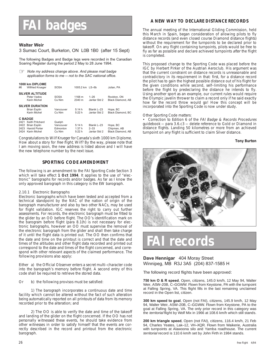# **FAI badges**

# **Walter Weir**

# 3 Sumac Court, Burketon, ON L0B 1B0 (after 15 Sept)

The following Badges and Badge legs were recorded in the Canadian Soaring Register during the period 2 May to 28 June 1994.

☞ *Note my address change above. And please mail badge application forms to me — not to the SAC national office.*

| #6             | 1000 km DIPLOME<br><b>Wilfried Krueger</b>                                           | <b>SOSA</b>                               | 1005.2 km LS-6b           |                                         | Julian, PA                                          |
|----------------|--------------------------------------------------------------------------------------|-------------------------------------------|---------------------------|-----------------------------------------|-----------------------------------------------------|
|                | <b>SILVER ALTITUDE</b><br>Peter Vados<br>Karin Michel                                | <b>SOSA</b><br>Cu Nim                     | 1168 m<br>2340 m          | $1 - 26$<br>Jantar Std 2                | Rockton, ON<br><b>Black Diamond, AB</b>             |
|                | <b>SILVER DURATION</b><br><b>Brian Esplin</b><br>Karin Michel                        | Vancouver<br>Cu Nim                       | 5:14 h<br>5:22 h          | Blanik L-23<br>Jantar Std 2             | Hope, BC<br>Black Diamond, BC                       |
| <b>C BADGE</b> | 2421 Keith Pritchard<br>2422 Brian Esplin<br>2423 Harold Porter<br>2424 Karin Michel | Guelph<br>Vancouver<br>Edmonton<br>Cu Nim | 5:14 h<br>1:37h<br>5:22 h | Blanik L-23<br>$2 - 33$<br>Jantar Std 2 | Hope, BC<br>Chipman, AB<br><b>Black Diamond, AB</b> |

Congratulations to Wilf Krueger for Canada's sixth 1000 km Diplome. How about a story for free flight, Wilf? By the way, please note that I am moving soon, the new address is listed above and I will have the new telephone number by the next issue.

# **SPORTING CODE AMENDMENT**

The following is an amendment to the FAI Sporting Code Section 3 which will take effect **1 Oct 1994**. It applies to the use of "electronic" barographs for records and/or badges. As far as I know the only approved barograph in this category is the EW barograph.

# 2.10.1 Electronic Barographs

Electronic barographs which have been tested and accepted from a technical standpoint by the NAC of the nation of origin of the barograph manufacturer and also by two other NACs, may be used for flight validation. IGC reserves the right to carry out further assessments. For records, the electronic barograph must be fitted to the glider by an OO before flight. The OO's identification mark on the barogram before flight (para 8.1(h) is not necessary for electronic barographs, however an OO must supervise the removal of the electronic barograph from the glider and shall then take charge of it until the flight data is printed out. The OO then confirms that the date and time on the printout is correct and that the date and times of the altitudes and other flight data recorded and printed out correspond to the date and times of the flight concerned, and correspond with other relevant aspects of the claimed performance. The following provisions also apply:

Either a) the Official Observer enters a secret multi–character code into the barograph's memory before flight. A second entry of this code shall be required to retrieve the stored data.

Or b) the following provisos must be satisfied:

1) The barograph incorporates a continuous date and time facility which cannot be altered without the fact of such alteration being automatically reported on all printouts of data from its memory recorded prior to the alteration; and

2) The OO is able to verify the date and time of the takeoff and landing of the glider on the flight concerned. If the OO has not personally witnessed these events, he should take evidence from other witnesses in order to satisfy himself that the events are correctly described in the record and printout from the electronic barograph.

# **A NEW WAY TO DECLARE DISTANCE RECORDS**

The annual meeting of the International Gliding Commission, held this March in Spain, began consideration of allowing pilots to fly distance records (and even closed course Diamond distance flights) without the requirement for the turnpoints to be declared prior to takeoff. On any flight containing turnpoints, pilots would be free to fly as far as possible and declare achieved turnpoints after the flight is completed.

This proposed change to the Sporting Code was placed before the IGC by Herbert Pirker of the Austrian Aeroclub. His argument was that the current constraint on distance records is unreasonable and contradictory in its requirement in that: first, for a distance record the pilot has to gain the highest possible distance out of his flight for the given conditions while second, self–limiting his performance before the flight by predeclaring the distance he intends to fly. Using another sport as an example, our current rules would require the Olympic javelin thrower to claim a record only if he said exactly how far the record throw would go! How this concept will be incorporated into the Sporting Code is now under study.

# Other Sporting Code matters:

• Correction to Edition 6 of the FAI Badge & Records Procedures guidebook — para 3.6.c3 — delete reference to Gold or Diamond in distance flights. Landing 50 kilometres or more from an achieved turnpoint on any flight is sufficient to claim Silver distance.

# **Tony Burton**



# **records**

# **Dave Hennigar** 404 Moray Street Winnipeg, MB R3J 3A5 (204) 837-1585 H

The following record flights have been approved:

**750 km O & R speed**, Open, citizens, 145.0 km/h, 12 May 94, Walter Weir, ASW–20B, C–GGWW. Flown from Keystone, PA with the turnpoint at Falling Spring, VA. This flight fills in the last remaining unclaimed record in the Open list, citizen.

**300 km speed to goal**, Open (not FAI), citizens, 145.9 km/h, 12 May 94, Walter Weir, ASW–20B, C–GGWW. Flown from Keystone, PA to the goal at Falling Spring, VA. The only prior record in this category was the territorial flight by Wolf Mix in 1966 at 108.6 km/h which still stands.

**200 km triangle speed**, Open (not FAI), citizens, 116.4 km/h, 21 Feb 94, Charles Yeates, Lak–12, VH–XQR. Flown from Waikerie, Australia with turnpoints at Alawoona silo and Yamba roadhouse. The current territorial record is 110.6 km/h set by John Firth in 1984 stands.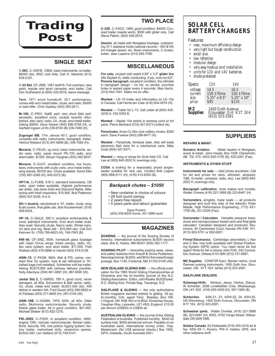

# **SINGLE SEAT**

**1–26C**, C–GNYB, 1260h, basic instruments, no trailer. \$6000 obo. MSC club ship. Call O. Maranta (613) 678-5197.

**1–23 Std**, CF–ZBR, 1951 ser#16. Full overhaul, new paint, regular and sport canopies, encl trailer. Call Don Sutherland at (604) 325-5016, leave message.

**Tern**, 1971 wood homebuilt, 30:1 performance, comes with encl metal trailer, chute, and radio. \$5000 or best offer. Chris Gadsby (403) 283-2411.

**M–100**, C–FRIV, Ka6E perf, very short field perf, aerobatic, excellent cond, cockpit recently refurbished, elec vario, radio, O2, chute, encl metal trailer. Asking \$9500. Dave Harper (905) 896-3758 (H), or Garfield Ingram (416) 239-9740 (B) 239-7465 (H).

**Zugvogel IIIB**, 17m, almost 40:1, good condition, complete with radio, instruments, barograph, trailer. Helmut Wieland (613) 541-6606 (B), 548-7564 (H).

**Monerai**, C–FEUQ, vg cond, basic instruments, audio vario, netto, panel mount TR–720 radio, encl steel trailer. \$7200. Struan Vaughan (403) 362-5837.

**Monerai**, C–GJUT, excellent condition, low hours, basic instruments with audio vario, encl metal trailer, wing stands. \$5700 obo. Chute available. David Ellis (705) 687-2365 (H), 645-5272 (B).

**HP11A**, C–FUKB, 518 h, standard instruments, CB radio, open trailer available. Highest performance per dollar, has done Gold and Diamond flights. After spring with fresh inspection, \$10,900. Bob Patterson (905) 457-5238, 9 to 9.

**SH–1 Austria**, refurbished in '91, trailer, chute, wing & tail covers, final glide calc. Bob Kurzwernhart, (519) 658-6334.

**HP–16**, C–GAUZ, 395 h, excellent workmanship & cond, standard instruments. Encl alum trailer avail. Also avail: Security chute, Narco radio, Winter baro, O2 tank and reg. Must sell – \$10,900 obo. Call Eric Ketonen Sr. (705) 799-6623 (H), 748-7953 (B).

**KW–45**, CF–SNZ, 500h, homebuilt glass fuselage with Open Cirrus wings, tinted canopy, radio, O2, Ilec vario system, encl alum trailer. \$17,000. Fred Wollrad (403) 479-2886 or Harold (403) 474-0139.

**ASW–15**, C–FKGB, 960h, Ball & PZL varios, constant flow O2 system, fuse & tail refinished in '91, ballast bags (not installed), Schleicher soft top trailer. Asking \$US15,800 with partway delivery possible. Kelly Allardyce (204) 661-0887 (H), 987-6390 (W).

**Jantar Std 2**, C–GMSG, 780 h, good cond, never damaged, all ADs. Schuemann & Ball varios, radio, O2, chute, metal encl trailer. \$US21,000 obo. Will deliver in western NA. Fred Guest (403) 289-8820 or Al Poldaas (403) 271-8929 (H), 287-0144 (W).

**ASW–19B**, C–GGMN, 1979, 930h, all ADs. Dittel radio, Skytronics vario/computer, Security chute, Eberle glass trailer. All in good condition, \$31,000. Michael Stieber (613) 832-1276.

**PIK–20EII**, C–FIGW, in excellent condition, 465h, engine 135h, Varicalc vario/computer, Becker radio, Bohli, Security 150, one person rigging system, factory trailer, mainwheel dolly, expensive spares. \$US42,000. Len Gelfand (613) 749-5101.

# **TWO PLACE**

**2–22E**, C–FACC, 1965, good condition. \$4500. Covered trailer (needs work), \$500 with glider only. Call Steve Patton, (604) 536-2819.

**Gemini**, all metal with fibreglass fuselage, outstanding 37:1 sailplane holds national records – 500 &100 km triangle speed, etc. Basic instruments, 2 chutes, trailer. Jean Lapierre (514) 655-7766.

# **MISCELLANEOUS**

**For sale,** unused odd–sized 4.95" x 3.5" **glider tire** (fits Skylark 4), static conducting, 6 ply, cost me £27. **Peravia barograph**, excellent condition, the ultimate in barograph design – no ink, no smoke, punches holes in waxed paper every 4 seconds. Max Harris, (519) 842-7481. Make me an offer.

**Wanted** – LK–10 trailer and information on LK–10s in Canada. Call Herrie ten Cate (416) 604-3579 (H).

**Wanted** — Trailer for L-13. Call Julien at (604) 435- 4239 H, 432-5352 B.

**Wanted** – Radair 10s radios in working cond or for parts. Pierre Bertrand (514) 421-6373 (collect ok).

**Parachutes**, three Cu Nim club military chutes, \$250 each. Dave Fowlow (403) 289-9477 (H).

**Wanted** – Parachute, thinback style. Also will trade electronic Ball vario for a mechanical vario. Mike Cook (604) 427-5471.

**Wanted —** wing or wings for Grob Astir CS. Call Lee at (905) 840-2932 H, evenings only.

**COSA** is looking for a reasonably priced single– seater suitable for club use. Contact Bob Legere (905) 668-5111 (H), (416) 412-6550 (B).

# *Backpack chutes – \$1050*

- New container in choice of colours
- 28 foot round canopy • 2 years free repack
- 
- 5 years parts and labour guarantee

Dave Puckrin (403) 459-8535 home, 451-3660 work

# **MAGAZINES**

**SOARING** — the journal of the Soaring Society of America. International subscriptions \$US35 second class. Box E, Hobbs, NM 88241 (505) 392-1177.

**SOARING PILOT** — bimonthly soaring news, views, and safety features from Knauff & Grove Publishers. New large format. \$US20, add \$8 for first class/foreign postage. Box 1145, Frederick, MD 21702-0145 USA.

**NEW ZEALAND GLIDING KIWI** — the official publication for the 1995 World Gliding Championships at Omarama and the bi–monthly journal of the N.Z. Gliding Association. Editor, John Roake. \$US25/year. N.Z. Gliding Kiwi, Private Bag, Tauranga, N.Z.

**SAILPLANE & GLIDING** — the only authoritative British magazine devoted entirely to gliding. 52 pp, bi–monthly. Cdn. agent Terry Beasley, Box 169, L'Orignal, ON K0B 1K0 or to BGA, Kimberley House, Vaughan Way, Leicester, LE1 4SG, England. £15.50 per annum (US\$30) or US\$40 air.

**AUSTRALIAN GLIDING** — the journal of the Gliding Federation of Australia. Published monthly. \$A40.50 surface mail, \$A55 airmail per annum. Payable on an Australian bank, international money order, Visa, Mastercard. (No US\$ personal checks.) Box 1650, GPO, Adelaide, South Australia 5001.

# **SOLAR CELL BATTERY CHARGERS**

Features:

- *new, maximum efficiency design*
- *very light but tough construction*
- *small size*
- *low reflection*
- *modular design*
- *very easy hookup and installation*
- *units for 12V and 14V batteries*
- *diode protected*

| Specs:          | 12V                                       | 14 V               |  |  |  |  |  |
|-----------------|-------------------------------------------|--------------------|--|--|--|--|--|
| voltage         | 14.5                                      | 16.5               |  |  |  |  |  |
| current         | 150-170ma                                 | 150-170ma          |  |  |  |  |  |
| size            | $5.25$ " x $8.5$ "                        | $5.25" \times 10"$ |  |  |  |  |  |
| price           | \$95                                      | <b>S110</b>        |  |  |  |  |  |
| МZ              | 1450 Goth Avenue                          |                    |  |  |  |  |  |
| <b>Supplies</b> | Gloucester, Ont K1T 1E4<br>(613) 523-2581 |                    |  |  |  |  |  |

# **SUPPLIERS**

#### **REPAIRS & MAINT.**

**Sunaero Aviation.** Glider repairs in fibreglass, wood, & metal. Jerry Vesely, Box 1928, Claresholm, AB T0L 0T0 (403) 625-3155 (B), 625-2281 (Fax).

#### **INSTRUMENTS & OTHER STUFF**

**Instruments for sale** — best prices anywhere. Call for list and prices for vario, altimeter, airspeed, T&B, G-meter, compass, radio, etc). Lee (905) 840- 2932 H, evenings only.

**Barograph calibration**, most makes and models. Walter Chmela (416) 221-3888 (B) 223-6487 (H).

**Variometers**, winglets, mylar seals — all products designed and built this side of the Atlantic! Peter Masak, High Performance Engineering, (713) 431- 1795 (B), 431-2228 (Fax).

**Variometer / Calculator.** Versatile pressure transducer and microprocessor based vario and final glide calculator. Canadian designed and produced. Skytronics, 45 Carmichael Court, Kanata ON K2K 1K1. (613) 820-3751 or 592-0657.

**Firmal Electronics**. Cambridge variometers, L Nav and S Nav now both available with Global Positioning System (GPS) option. You need never be lost again! Write for list or phone John Firth, 542 Coronation Avenue, Ottawa K1G 0M4 (613) 731-6997.

**MZ Supplies**. CONFOR foam, Becker radios, most German soaring instruments. 1450 Goth Ave, Gloucester, ON K1T 1E4 tel/fax (613) 523-2581.

#### **SAILPLANE DEALERS**

**Schempp-Hirth.** Nimbus, Janus, Ventus, Discus. Al Schreiter, 3298 Lonefeather Cres, Mississauga, ON L4Y 3G5 (416) 625-0400 (H), 597-1999 (B).

**Schleicher.** ASK-21, 23, ASW-22, 24, ASH-25. Ulli Werneburg, 1450 Goth Avenue, Gloucester, ON K1T 1E4 (613) 523-2581.

**Schweizer parts.** Walter Chmela, (416) 221-3888 (B), 223-6487 (H), #203, 4750 Yonge Street, Willow-dale ON M2N 5M6.

**Solaire Canada**. Ed Hollestelle (519) 455-3316 tel & fax. SZD–55–1, Krosno, PW–5, trailers, GPS, and other sailplane stuff.